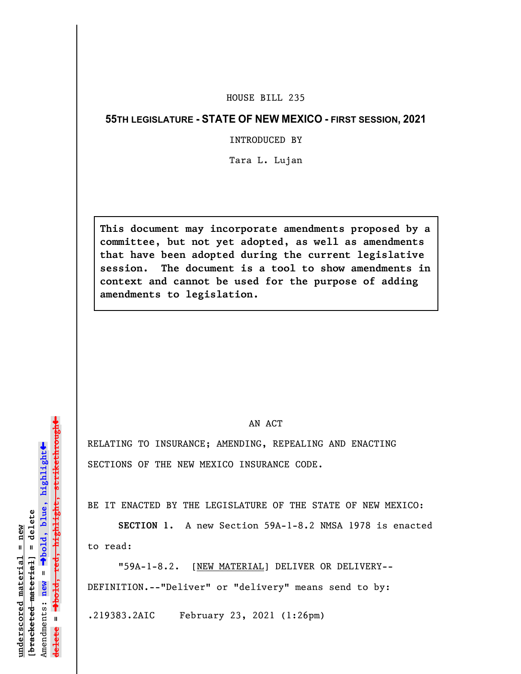## HOUSE BILL 235

## **55TH LEGISLATURE - STATE OF NEW MEXICO - FIRST SESSION, 2021**

INTRODUCED BY

Tara L. Lujan

**This document may incorporate amendments proposed by a committee, but not yet adopted, as well as amendments that have been adopted during the current legislative session. The document is a tool to show amendments in context and cannot be used for the purpose of adding amendments to legislation.**

## AN ACT

RELATING TO INSURANCE; AMENDING, REPEALING AND ENACTING SECTIONS OF THE NEW MEXICO INSURANCE CODE.

BE IT ENACTED BY THE LEGISLATURE OF THE STATE OF NEW MEXICO:

**SECTION 1.** A new Section 59A-1-8.2 NMSA 1978 is enacted to read:

"59A-1-8.2. [NEW MATERIAL] DELIVER OR DELIVERY-- DEFINITION.--"Deliver" or "delivery" means send to by:

.219383.2AIC February 23, 2021 (1:26pm)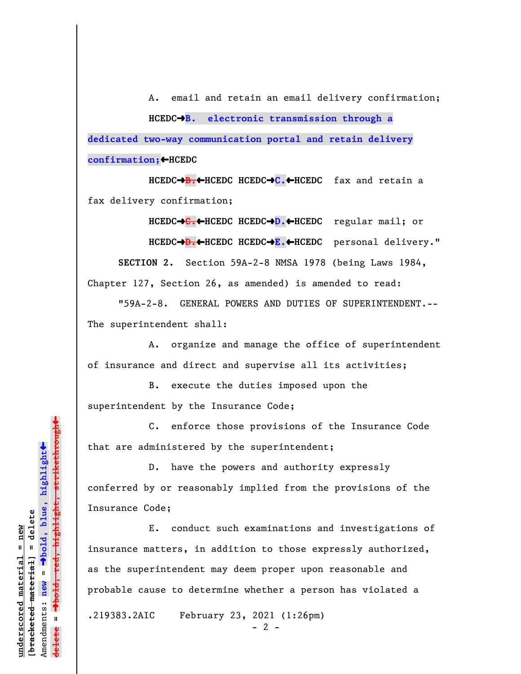A. email and retain an email delivery confirmation; **HCEDC**º**B. electronic transmission through a dedicated two-way communication portal and retain delivery confirmation;**»**HCEDC**

**HCEDC**º**B.**»**HCEDC HCEDC**º**C.**»**HCEDC** fax and retain a fax delivery confirmation;

**HCEDC**º**C.**»**HCEDC HCEDC**º**D.**»**HCEDC** regular mail; or HCEDC→<del>D.←</del>HCEDC HCEDC→E.←HCEDC personal delivery." **SECTION 2.** Section 59A-2-8 NMSA 1978 (being Laws 1984, Chapter 127, Section 26, as amended) is amended to read:

"59A-2-8. GENERAL POWERS AND DUTIES OF SUPERINTENDENT.-- The superintendent shall:

A. organize and manage the office of superintendent of insurance and direct and supervise all its activities;

B. execute the duties imposed upon the superintendent by the Insurance Code;

C. enforce those provisions of the Insurance Code that are administered by the superintendent;

D. have the powers and authority expressly conferred by or reasonably implied from the provisions of the Insurance Code;

E. conduct such examinations and investigations of insurance matters, in addition to those expressly authorized, as the superintendent may deem proper upon reasonable and probable cause to determine whether a person has violated a

.219383.2AIC February 23, 2021 (1:26pm)

 $- 2 -$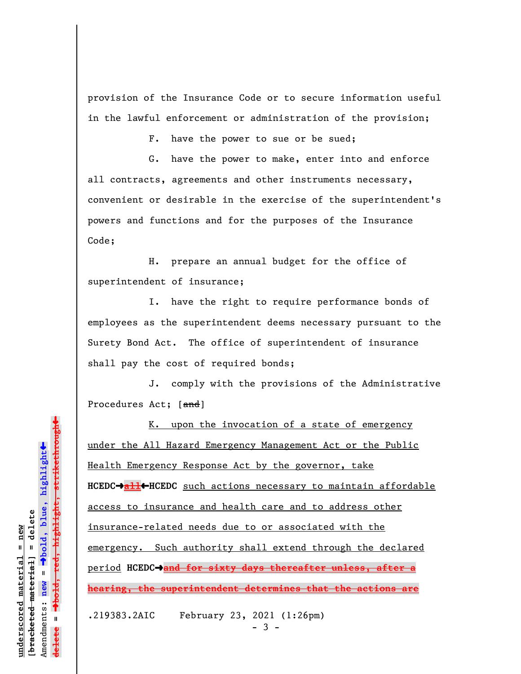provision of the Insurance Code or to secure information useful in the lawful enforcement or administration of the provision;

F. have the power to sue or be sued;

G. have the power to make, enter into and enforce all contracts, agreements and other instruments necessary, convenient or desirable in the exercise of the superintendent's powers and functions and for the purposes of the Insurance Code;

H. prepare an annual budget for the office of superintendent of insurance;

I. have the right to require performance bonds of employees as the superintendent deems necessary pursuant to the Surety Bond Act. The office of superintendent of insurance shall pay the cost of required bonds;

J. comply with the provisions of the Administrative Procedures Act; [and]

K. upon the invocation of a state of emergency under the All Hazard Emergency Management Act or the Public Health Emergency Response Act by the governor, take **HCEDC**º**all**»**HCEDC** such actions necessary to maintain affordable access to insurance and health care and to address other insurance-related needs due to or associated with the emergency. Such authority shall extend through the declared period **HCEDC**º**and for sixty days thereafter unless, after a hearing, the superintendent determines that the actions are**

.219383.2AIC February 23, 2021 (1:26pm)

 $-3 -$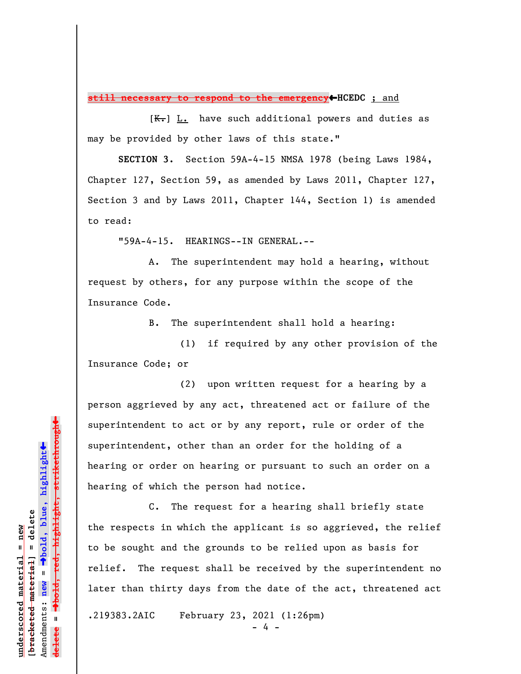**still necessary to respond to the emergency**»**HCEDC** ; and

 $[K-]$  L. have such additional powers and duties as may be provided by other laws of this state."

**SECTION 3.** Section 59A-4-15 NMSA 1978 (being Laws 1984, Chapter 127, Section 59, as amended by Laws 2011, Chapter 127, Section 3 and by Laws 2011, Chapter 144, Section 1) is amended to read:

"59A-4-15. HEARINGS--IN GENERAL.--

A. The superintendent may hold a hearing, without request by others, for any purpose within the scope of the Insurance Code.

B. The superintendent shall hold a hearing:

(1) if required by any other provision of the Insurance Code; or

(2) upon written request for a hearing by a person aggrieved by any act, threatened act or failure of the superintendent to act or by any report, rule or order of the superintendent, other than an order for the holding of a hearing or order on hearing or pursuant to such an order on a hearing of which the person had notice.

C. The request for a hearing shall briefly state the respects in which the applicant is so aggrieved, the relief to be sought and the grounds to be relied upon as basis for relief. The request shall be received by the superintendent no later than thirty days from the date of the act, threatened act

.219383.2AIC February 23, 2021 (1:26pm)

- 4 -

highlight, strikethrough º**bold, red, highlight, strikethrough**  $\ddot{\bullet}$ º**bold, blue, highlight**  $b$ racketed material] = delete **[bracketed material] = delete** inderscored material = new **underscored material = new** Amendments: **new** =  $\mathbf{u}$ Amendments: new **delete =**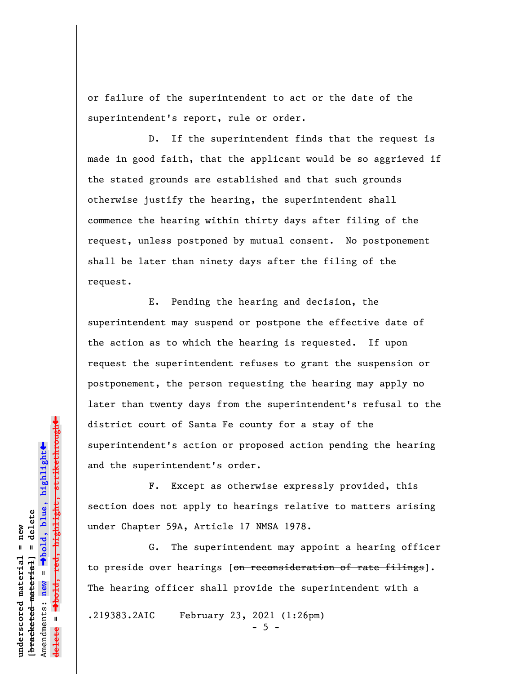or failure of the superintendent to act or the date of the superintendent's report, rule or order.

D. If the superintendent finds that the request is made in good faith, that the applicant would be so aggrieved if the stated grounds are established and that such grounds otherwise justify the hearing, the superintendent shall commence the hearing within thirty days after filing of the request, unless postponed by mutual consent. No postponement shall be later than ninety days after the filing of the request.

E. Pending the hearing and decision, the superintendent may suspend or postpone the effective date of the action as to which the hearing is requested. If upon request the superintendent refuses to grant the suspension or postponement, the person requesting the hearing may apply no later than twenty days from the superintendent's refusal to the district court of Santa Fe county for a stay of the superintendent's action or proposed action pending the hearing and the superintendent's order.

F. Except as otherwise expressly provided, this section does not apply to hearings relative to matters arising under Chapter 59A, Article 17 NMSA 1978.

G. The superintendent may appoint a hearing officer to preside over hearings [on reconsideration of rate filings]. The hearing officer shall provide the superintendent with a

.219383.2AIC February 23, 2021 (1:26pm)

 $-5 -$ 

 $\ddag$ º**bold, red, highlight, strikethrough**  $\ddot{\bullet}$ º**bold, blue, highlight** bracketed material] = delete **[bracketed material] = delete** mderscored material = new **underscored material = new** Amendments: **new** =  $\bar{\mathbf{u}}$ Amendments: new **delete =**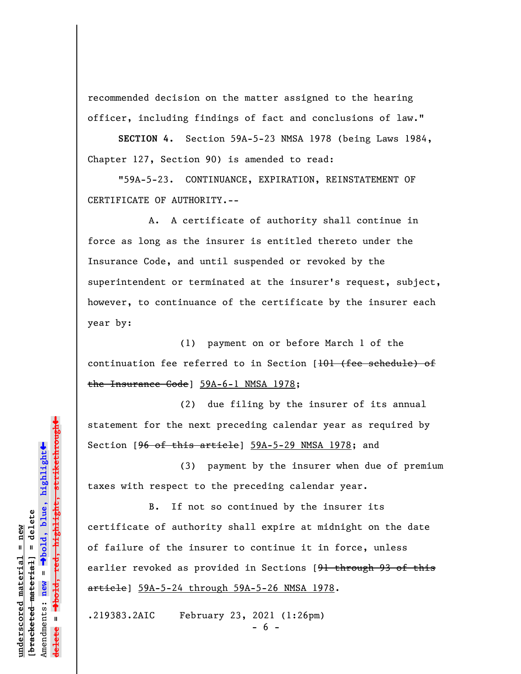recommended decision on the matter assigned to the hearing officer, including findings of fact and conclusions of law."

**SECTION 4.** Section 59A-5-23 NMSA 1978 (being Laws 1984, Chapter 127, Section 90) is amended to read:

"59A-5-23. CONTINUANCE, EXPIRATION, REINSTATEMENT OF CERTIFICATE OF AUTHORITY.--

A. A certificate of authority shall continue in force as long as the insurer is entitled thereto under the Insurance Code, and until suspended or revoked by the superintendent or terminated at the insurer's request, subject, however, to continuance of the certificate by the insurer each year by:

(1) payment on or before March 1 of the continuation fee referred to in Section [101 (fee schedule) of the Insurance Code] 59A-6-1 NMSA 1978;

(2) due filing by the insurer of its annual statement for the next preceding calendar year as required by Section [96 of this article] 59A-5-29 NMSA 1978; and

(3) payment by the insurer when due of premium taxes with respect to the preceding calendar year.

B. If not so continued by the insurer its certificate of authority shall expire at midnight on the date of failure of the insurer to continue it in force, unless earlier revoked as provided in Sections [91 through 93 of this article] 59A-5-24 through 59A-5-26 NMSA 1978.

.219383.2AIC February 23, 2021 (1:26pm)

- 6 -

highlight, strikethrough º**bold, red, highlight, strikethrough**  $\ddot{\bullet}$ º**bold, blue, highlight**  $b$ racketed material] = delete **[bracketed material] = delete** inderscored material = new **underscored material = new** Amendments: **new** =  $\bar{\mathbf{u}}$ Amendments: new **delete =**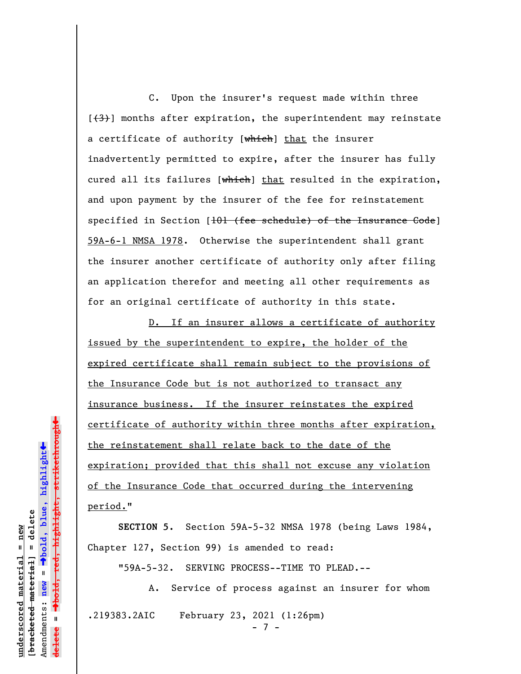C. Upon the insurer's request made within three  $[43]$  months after expiration, the superintendent may reinstate a certificate of authority [which] that the insurer inadvertently permitted to expire, after the insurer has fully cured all its failures [which] that resulted in the expiration, and upon payment by the insurer of the fee for reinstatement specified in Section [<del>101 (fee schedule) of the Insurance Code</del>] 59A-6-1 NMSA 1978. Otherwise the superintendent shall grant the insurer another certificate of authority only after filing an application therefor and meeting all other requirements as for an original certificate of authority in this state.

D. If an insurer allows a certificate of authority issued by the superintendent to expire, the holder of the expired certificate shall remain subject to the provisions of the Insurance Code but is not authorized to transact any insurance business. If the insurer reinstates the expired certificate of authority within three months after expiration, the reinstatement shall relate back to the date of the expiration; provided that this shall not excuse any violation of the Insurance Code that occurred during the intervening period."

**SECTION 5.** Section 59A-5-32 NMSA 1978 (being Laws 1984, Chapter 127, Section 99) is amended to read:

"59A-5-32. SERVING PROCESS--TIME TO PLEAD.--

A. Service of process against an insurer for whom .219383.2AIC February 23, 2021 (1:26pm)

- 7 -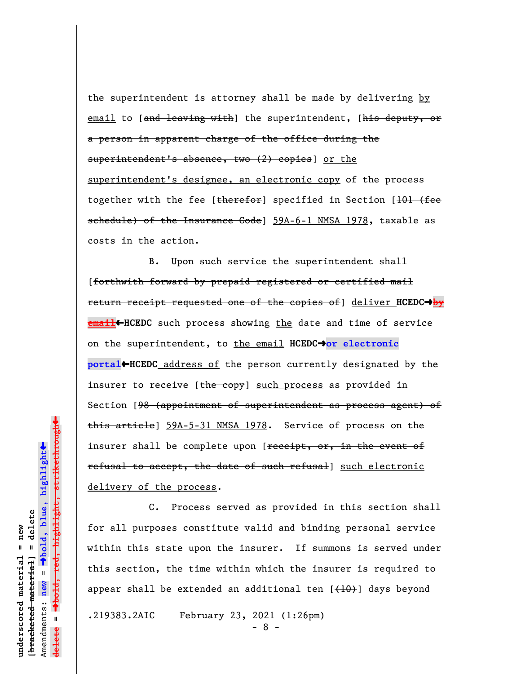the superintendent is attorney shall be made by delivering by email to [and leaving with] the superintendent, [his deputy, or a person in apparent charge of the office during the superintendent's absence, two (2) copies] or the superintendent's designee, an electronic copy of the process together with the fee [therefor] specified in Section [101 (fee schedule) of the Insurance Code] 59A-6-1 NMSA 1978, taxable as costs in the action.

B. Upon such service the superintendent shall [forthwith forward by prepaid registered or certified mail return receipt requested one of the copies of] deliver **HCEDC**º**by email HCEDC** such process showing the date and time of service on the superintendent, to the email **HCEDC**º**or electronic portal**»**HCEDC** address of the person currently designated by the insurer to receive [the copy] such process as provided in Section [<del>98 (appointment of superintendent as process agent) of</del> this article] 59A-5-31 NMSA 1978. Service of process on the insurer shall be complete upon [receipt, or, in the event of refusal to accept, the date of such refusal] such electronic delivery of the process.

C. Process served as provided in this section shall for all purposes constitute valid and binding personal service within this state upon the insurer. If summons is served under this section, the time within which the insurer is required to appear shall be extended an additional ten  $[{+10}$ ) days beyond

.219383.2AIC February 23, 2021 (1:26pm)

- 8 -

 $\ddag$ º**bold, red, highlight, strikethrough**  $\ddot{\bullet}$ º**bold, blue, highlight**  $b$ racketed material] = delete **[bracketed material] = delete** inderscored material = new **underscored material = new** Amendments: **new** =  $\bar{\mathbf{u}}$ Amendments: new **delete =**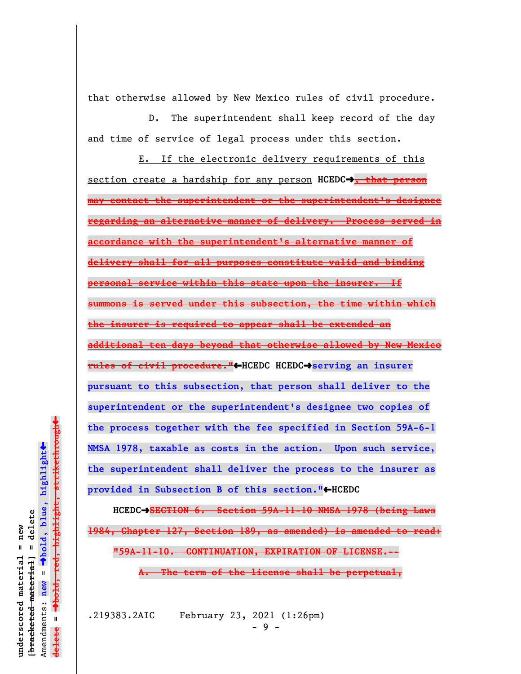that otherwise allowed by New Mexico rules of civil procedure.

D. The superintendent shall keep record of the day and time of service of legal process under this section.

E. If the electronic delivery requirements of this section create a hardship for any person **HCEDC**º**, that person may contact the superintendent or the superintendent's designee regarding an alternative manner of delivery. Process served in accordance with the superintendent's alternative manner of delivery shall for all purposes constitute valid and binding personal service within this state upon the insurer. If summons is served under this subsection, the time within which the insurer is required to appear shall be extended an additional ten days beyond that otherwise allowed by New Mexico rules of civil procedure."**»**HCEDC HCEDC**º**serving an insurer pursuant to this subsection, that person shall deliver to the superintendent or the superintendent's designee two copies of the process together with the fee specified in Section 59A-6-1 NMSA 1978, taxable as costs in the action. Upon such service, the superintendent shall deliver the process to the insurer as** provided in Subsection B of this section."<sup>+</sup>HCEDC

**HCEDC**º**SECTION 6. Section 59A-11-10 NMSA 1978 (being Laws 1984, Chapter 127, Section 189, as amended) is amended to read: "59A-11-10. CONTINUATION, EXPIRATION OF LICENSE.--**

**A. The term of the license shall be perpetual,**

**underscored material = new [bracketed material] = delete**

 $b$ racketed material] = delete inderscored material = new

Amendments: **new** =

Amendments: new =  $\mathbf{u}$ 

**delete =**

lelete

º**bold, blue, highlight**

º**bold, red, highlight, strikethrough**

 $\ddot{\bullet}$ 

 $\ddag$ 

.219383.2AIC February 23, 2021 (1:26pm)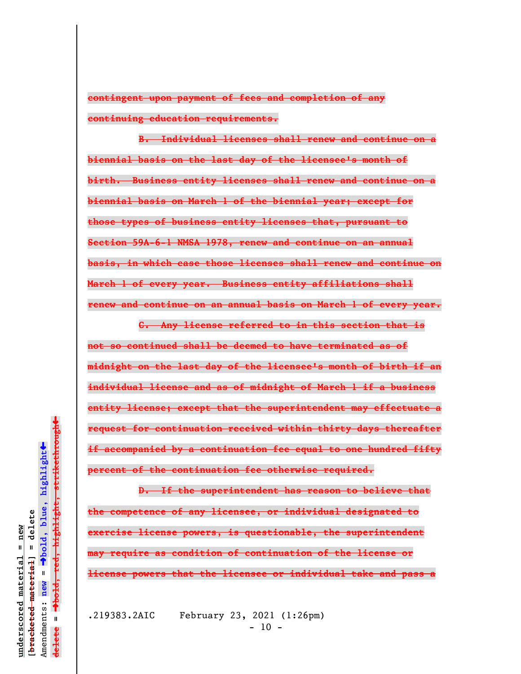**contingent upon payment of fees and completion of any continuing education requirements.**

**B. Individual licenses shall renew and continue on a biennial basis on the last day of the licensee's month of birth. Business entity licenses shall renew and continue on a biennial basis on March 1 of the biennial year; except for those types of business entity licenses that, pursuant to Section 59A-6-1 NMSA 1978, renew and continue on an annual basis, in which case those licenses shall renew and continue on March 1 of every year. Business entity affiliations shall renew and continue on an annual basis on March 1 of every year.**

**C. Any license referred to in this section that is not so continued shall be deemed to have terminated as of midnight on the last day of the licensee's month of birth if an individual license and as of midnight of March 1 if a business entity license; except that the superintendent may effectuate a request for continuation received within thirty days thereafter if accompanied by a continuation fee equal to one hundred fifty percent of the continuation fee otherwise required.**

**D. If the superintendent has reason to believe that the competence of any licensee, or individual designated to exercise license powers, is questionable, the superintendent may require as condition of continuation of the license or license powers that the licensee or individual take and pass a**

.219383.2AIC February 23, 2021 (1:26pm)  $- 10 -$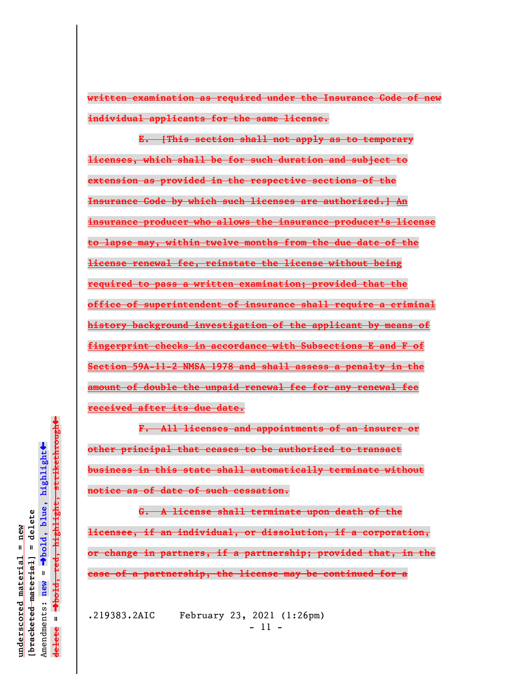**written examination as required under the Insurance Code of new individual applicants for the same license.**

**E. [This section shall not apply as to temporary licenses, which shall be for such duration and subject to extension as provided in the respective sections of the Insurance Code by which such licenses are authorized.] An insurance producer who allows the insurance producer's license to lapse may, within twelve months from the due date of the license renewal fee, reinstate the license without being required to pass a written examination; provided that the office of superintendent of insurance shall require a criminal history background investigation of the applicant by means of fingerprint checks in accordance with Subsections E and F of Section 59A-11-2 NMSA 1978 and shall assess a penalty in the amount of double the unpaid renewal fee for any renewal fee received after its due date.**

**F. All licenses and appointments of an insurer or other principal that ceases to be authorized to transact business in this state shall automatically terminate without notice as of date of such cessation.**

**G. A license shall terminate upon death of the licensee, if an individual, or dissolution, if a corporation, or change in partners, if a partnership; provided that, in the case of a partnership, the license may be continued for a**

.219383.2AIC February 23, 2021 (1:26pm) - 11 -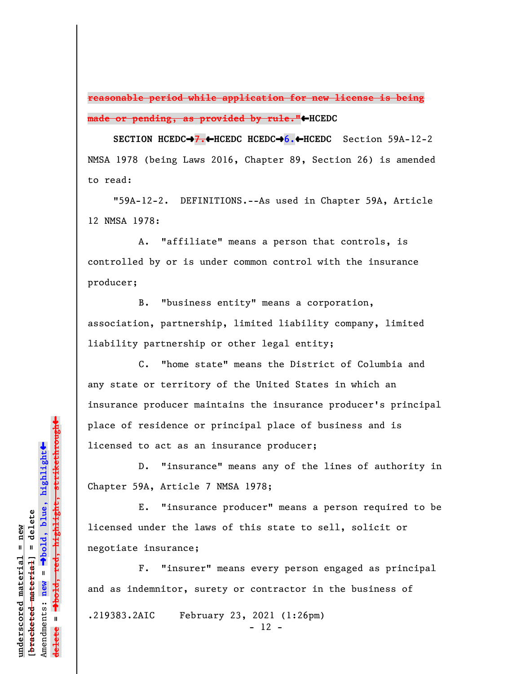**reasonable period while application for new license is being** made or pending, as provided by rule."<HCEDC

**SECTION HCEDC**º**7.**»**HCEDC HCEDC**º**6.**»**HCEDC** Section 59A-12-2 NMSA 1978 (being Laws 2016, Chapter 89, Section 26) is amended to read:

"59A-12-2. DEFINITIONS.--As used in Chapter 59A, Article 12 NMSA 1978:

A. "affiliate" means a person that controls, is controlled by or is under common control with the insurance producer;

B. "business entity" means a corporation, association, partnership, limited liability company, limited liability partnership or other legal entity;

C. "home state" means the District of Columbia and any state or territory of the United States in which an insurance producer maintains the insurance producer's principal place of residence or principal place of business and is licensed to act as an insurance producer;

D. "insurance" means any of the lines of authority in Chapter 59A, Article 7 NMSA 1978;

E. "insurance producer" means a person required to be licensed under the laws of this state to sell, solicit or negotiate insurance;

F. "insurer" means every person engaged as principal and as indemnitor, surety or contractor in the business of .219383.2AIC February 23, 2021 (1:26pm)  $- 12 -$ 

º**bold, red, highlight, strikethrough**  $\ddot{\bullet}$ º**bold, blue, highlight**  $b$ racketed material] = delete **[bracketed material] = delete** inderscored material = new **underscored material = new** Amendments: **new** =  $\mathbf{u}$ Amendments: new **delete =**

 $\ddag$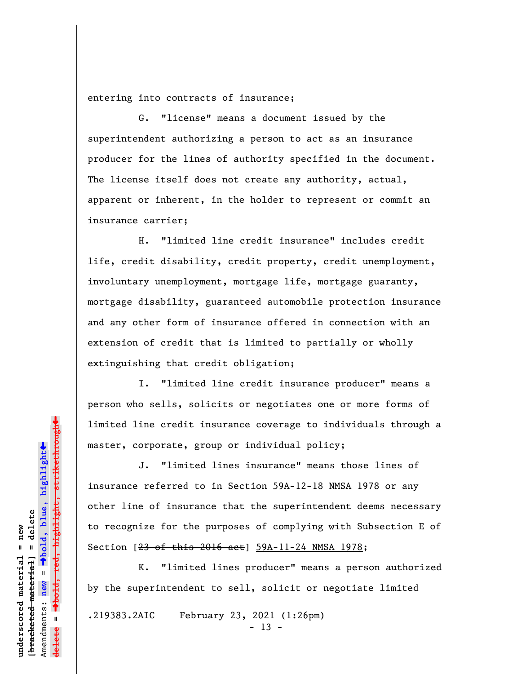entering into contracts of insurance;

G. "license" means a document issued by the superintendent authorizing a person to act as an insurance producer for the lines of authority specified in the document. The license itself does not create any authority, actual, apparent or inherent, in the holder to represent or commit an insurance carrier;

H. "limited line credit insurance" includes credit life, credit disability, credit property, credit unemployment, involuntary unemployment, mortgage life, mortgage guaranty, mortgage disability, guaranteed automobile protection insurance and any other form of insurance offered in connection with an extension of credit that is limited to partially or wholly extinguishing that credit obligation;

I. "limited line credit insurance producer" means a person who sells, solicits or negotiates one or more forms of limited line credit insurance coverage to individuals through a master, corporate, group or individual policy;

J. "limited lines insurance" means those lines of insurance referred to in Section 59A-12-18 NMSA 1978 or any other line of insurance that the superintendent deems necessary to recognize for the purposes of complying with Subsection E of Section [23 of this 2016 act] 59A-11-24 NMSA 1978;

K. "limited lines producer" means a person authorized by the superintendent to sell, solicit or negotiate limited

.219383.2AIC February 23, 2021 (1:26pm)

 $- 13 -$ 

 $\ddag$ º**bold, red, highlight, strikethrough**  $\ddot{\bullet}$ º**bold, blue, highlight** bracketed material] = delete **[bracketed material] = delete** inderscored material = new **underscored material = new** Amendments: **new** =  $\bar{\mathbf{u}}$ Amendments: new **delete =**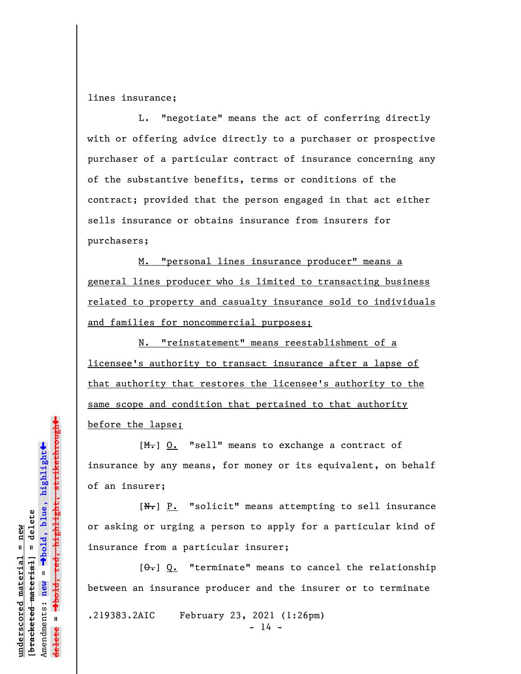lines insurance;

L. "negotiate" means the act of conferring directly with or offering advice directly to a purchaser or prospective purchaser of a particular contract of insurance concerning any of the substantive benefits, terms or conditions of the contract; provided that the person engaged in that act either sells insurance or obtains insurance from insurers for purchasers;

M. "personal lines insurance producer" means a general lines producer who is limited to transacting business related to property and casualty insurance sold to individuals and families for noncommercial purposes;

N. "reinstatement" means reestablishment of a licensee's authority to transact insurance after a lapse of that authority that restores the licensee's authority to the same scope and condition that pertained to that authority before the lapse;

[M.] O. "sell" means to exchange a contract of insurance by any means, for money or its equivalent, on behalf of an insurer;

 $[N<sub>1</sub>]$   $P.$  "solicit" means attempting to sell insurance or asking or urging a person to apply for a particular kind of insurance from a particular insurer;

 $[0, 0]$   $[0, 0]$  "terminate" means to cancel the relationship between an insurance producer and the insurer or to terminate

.219383.2AIC February 23, 2021 (1:26pm)

 $- 14 -$ 

 $\ddag$ º**bold, red, highlight, strikethrough**  $\ddot{\bullet}$ º**bold, blue, highlight** bracketed material] = delete **[bracketed material] = delete** inderscored material = new **underscored material = new** Amendments: new = Amendments: **new** = **delete =**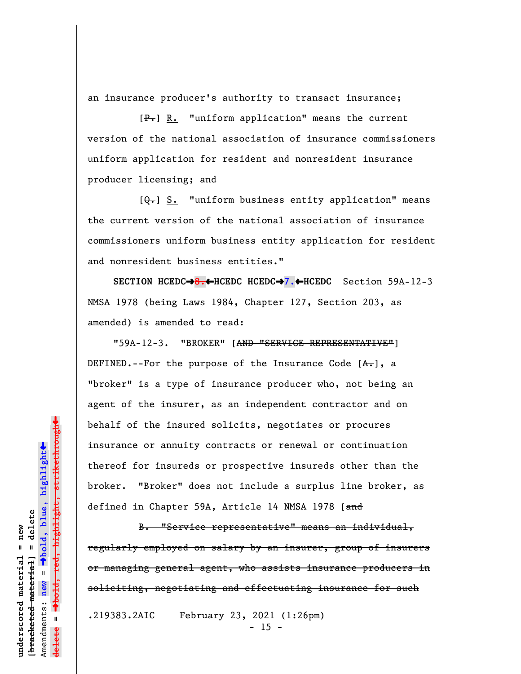an insurance producer's authority to transact insurance;

 $[P_{\bullet}]$  R. "uniform application" means the current version of the national association of insurance commissioners uniform application for resident and nonresident insurance producer licensing; and

 $[Q_{\tau}]$  S. "uniform business entity application" means the current version of the national association of insurance commissioners uniform business entity application for resident and nonresident business entities."

**SECTION HCEDC**º**8.**»**HCEDC HCEDC**º**7.**»**HCEDC** Section 59A-12-3 NMSA 1978 (being Laws 1984, Chapter 127, Section 203, as amended) is amended to read:

"59A-12-3. "BROKER" [AND "SERVICE REPRESENTATIVE"] DEFINED.--For the purpose of the Insurance Code  $[A, .]$ , a "broker" is a type of insurance producer who, not being an agent of the insurer, as an independent contractor and on behalf of the insured solicits, negotiates or procures insurance or annuity contracts or renewal or continuation thereof for insureds or prospective insureds other than the broker. "Broker" does not include a surplus line broker, as defined in Chapter 59A, Article 14 NMSA 1978 [and

B. "Service representative" means an individual, regularly employed on salary by an insurer, group of insurers or managing general agent, who assists insurance producers in soliciting, negotiating and effectuating insurance for such

.219383.2AIC February 23, 2021 (1:26pm)  $- 15 -$ 

º**bold, red, highlight, strikethrough**  $\ddot{\bullet}$ º**bold, blue, highlight** bracketed material] = delete **[bracketed material] = delete** inderscored material = new **underscored material = new** Amendments: **new** =  $\bar{\mathbf{u}}$ Amendments: new **delete =**

 $\ddag$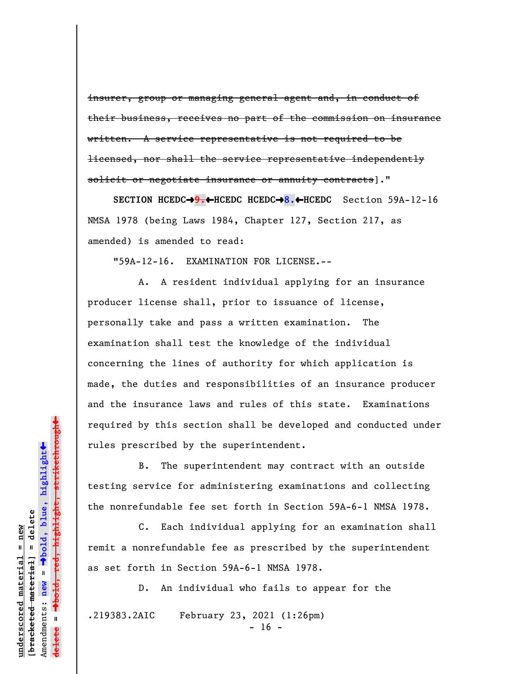insurer, group or managing general agent and, in conduct of their business, receives no part of the commission on insurance written. A service representative is not required to be licensed, nor shall the service representative independently solicit or negotiate insurance or annuity contracts]."

**SECTION HCEDC**º**9.**»**HCEDC HCEDC**º**8.**»**HCEDC** Section 59A-12-16 NMSA 1978 (being Laws 1984, Chapter 127, Section 217, as amended) is amended to read:

"59A-12-16. EXAMINATION FOR LICENSE.--

A. A resident individual applying for an insurance producer license shall, prior to issuance of license, personally take and pass a written examination. The examination shall test the knowledge of the individual concerning the lines of authority for which application is made, the duties and responsibilities of an insurance producer and the insurance laws and rules of this state. Examinations required by this section shall be developed and conducted under rules prescribed by the superintendent.

B. The superintendent may contract with an outside testing service for administering examinations and collecting the nonrefundable fee set forth in Section 59A-6-1 NMSA 1978.

C. Each individual applying for an examination shall remit a nonrefundable fee as prescribed by the superintendent as set forth in Section 59A-6-1 NMSA 1978.

D. An individual who fails to appear for the .219383.2AIC February 23, 2021 (1:26pm)

 $- 16 -$ 

bold, red, highlight, strikethrough º**bold, red, highlight, strikethrough**  $\ddot{\bullet}$ º**bold, blue, highlight** bracketed material] = delete **[bracketed material] = delete** inderscored material = new **underscored material = new** Amendments: **new** =  $\bar{\mathbf{u}}$ Amendments: new **delete =**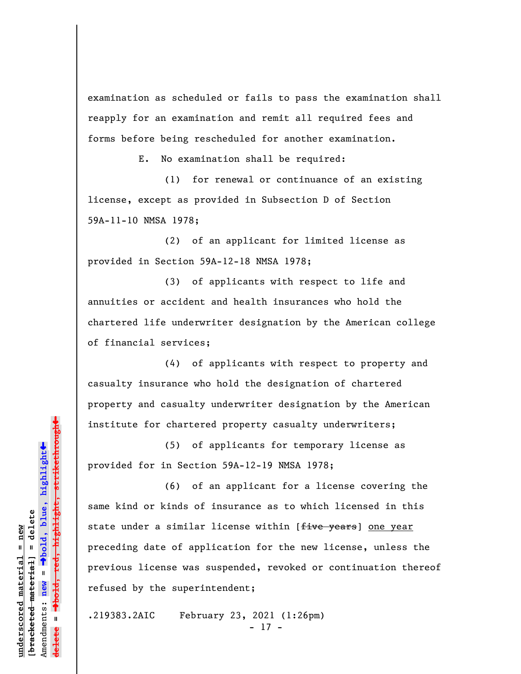examination as scheduled or fails to pass the examination shall reapply for an examination and remit all required fees and forms before being rescheduled for another examination.

E. No examination shall be required:

(1) for renewal or continuance of an existing license, except as provided in Subsection D of Section 59A-11-10 NMSA 1978;

(2) of an applicant for limited license as provided in Section 59A-12-18 NMSA 1978;

(3) of applicants with respect to life and annuities or accident and health insurances who hold the chartered life underwriter designation by the American college of financial services;

(4) of applicants with respect to property and casualty insurance who hold the designation of chartered property and casualty underwriter designation by the American institute for chartered property casualty underwriters;

(5) of applicants for temporary license as provided for in Section 59A-12-19 NMSA 1978;

(6) of an applicant for a license covering the same kind or kinds of insurance as to which licensed in this state under a similar license within [five years] one year preceding date of application for the new license, unless the previous license was suspended, revoked or continuation thereof refused by the superintendent;

.219383.2AIC February 23, 2021 (1:26pm) - 17 -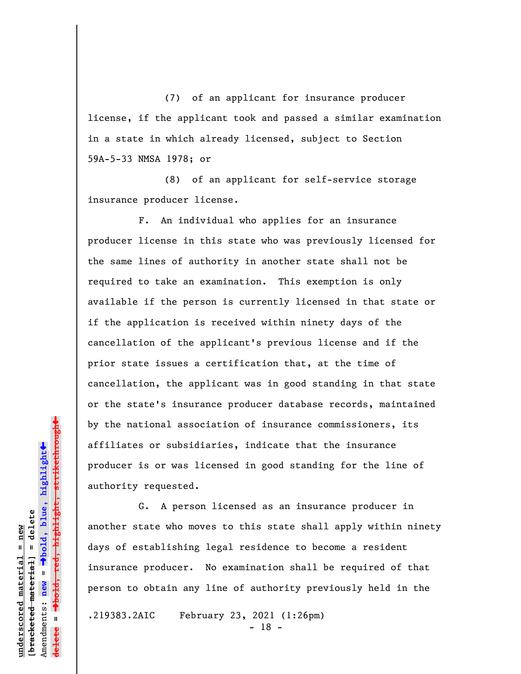(7) of an applicant for insurance producer license, if the applicant took and passed a similar examination in a state in which already licensed, subject to Section 59A-5-33 NMSA 1978; or

(8) of an applicant for self-service storage insurance producer license.

F. An individual who applies for an insurance producer license in this state who was previously licensed for the same lines of authority in another state shall not be required to take an examination. This exemption is only available if the person is currently licensed in that state or if the application is received within ninety days of the cancellation of the applicant's previous license and if the prior state issues a certification that, at the time of cancellation, the applicant was in good standing in that state or the state's insurance producer database records, maintained by the national association of insurance commissioners, its affiliates or subsidiaries, indicate that the insurance producer is or was licensed in good standing for the line of authority requested.

G. A person licensed as an insurance producer in another state who moves to this state shall apply within ninety days of establishing legal residence to become a resident insurance producer. No examination shall be required of that person to obtain any line of authority previously held in the

.219383.2AIC February 23, 2021 (1:26pm)

- 18 -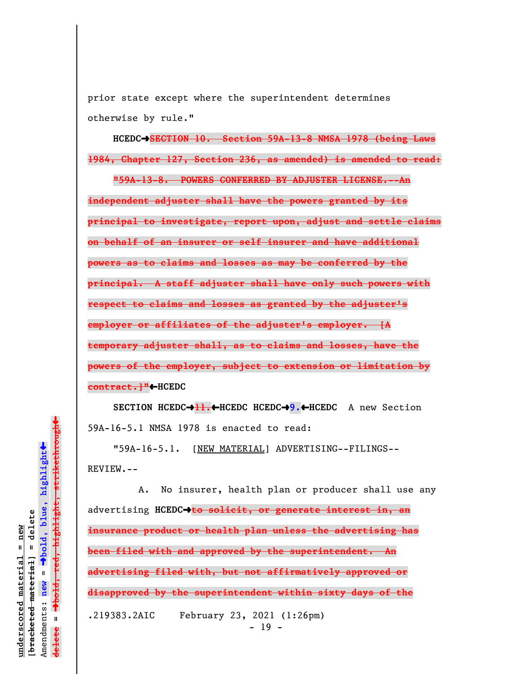prior state except where the superintendent determines otherwise by rule."

**HCEDC**º**SECTION 10. Section 59A-13-8 NMSA 1978 (being Laws 1984, Chapter 127, Section 236, as amended) is amended to read:**

**"59A-13-8. POWERS CONFERRED BY ADJUSTER LICENSE.--An independent adjuster shall have the powers granted by its principal to investigate, report upon, adjust and settle claims on behalf of an insurer or self insurer and have additional powers as to claims and losses as may be conferred by the principal. A staff adjuster shall have only such powers with respect to claims and losses as granted by the adjuster's employer or affiliates of the adjuster's employer. [A temporary adjuster shall, as to claims and losses, have the powers of the employer, subject to extension or limitation by contract.]"**»**HCEDC**

**SECTION HCEDC**º**11.**»**HCEDC HCEDC**º**9.**»**HCEDC** A new Section 59A-16-5.1 NMSA 1978 is enacted to read:

"59A-16-5.1. [NEW MATERIAL] ADVERTISING--FILINGS-- REVIEW.--

A. No insurer, health plan or producer shall use any advertising **HCEDC**º**to solicit, or generate interest in, an insurance product or health plan unless the advertising has been filed with and approved by the superintendent. An advertising filed with, but not affirmatively approved or disapproved by the superintendent within sixty days of the** .219383.2AIC February 23, 2021 (1:26pm)  $- 19 -$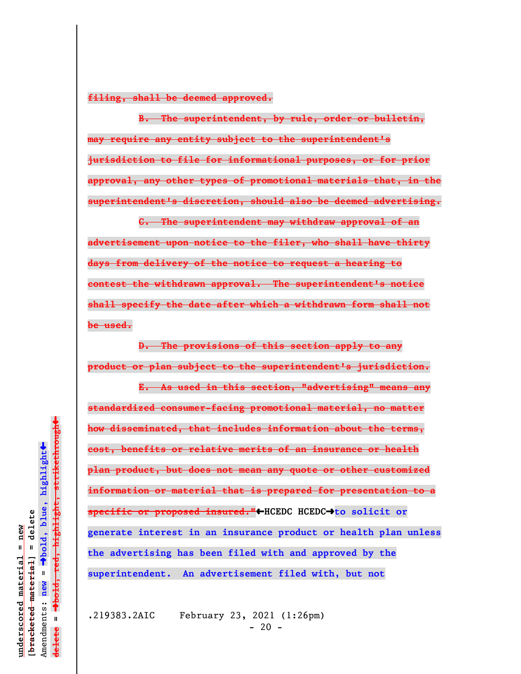**filing, shall be deemed approved.**

**B. The superintendent, by rule, order or bulletin, may require any entity subject to the superintendent's jurisdiction to file for informational purposes, or for prior approval, any other types of promotional materials that, in the superintendent's discretion, should also be deemed advertising.**

**C. The superintendent may withdraw approval of an advertisement upon notice to the filer, who shall have thirty days from delivery of the notice to request a hearing to contest the withdrawn approval. The superintendent's notice shall specify the date after which a withdrawn form shall not be used.**

**D. The provisions of this section apply to any product or plan subject to the superintendent's jurisdiction.**

**E. As used in this section, "advertising" means any standardized consumer-facing promotional material, no matter how disseminated, that includes information about the terms, cost, benefits or relative merits of an insurance or health plan product, but does not mean any quote or other customized information or material that is prepared for presentation to a specific or proposed insured."**»**HCEDC HCEDC**º**to solicit or generate interest in an insurance product or health plan unless the advertising has been filed with and approved by the superintendent. An advertisement filed with, but not**

.219383.2AIC February 23, 2021 (1:26pm)  $-20 -$ 

 $\ddot{\bullet}$ 

 $\ddag$ 

**underscored material = new**

inderscored material = new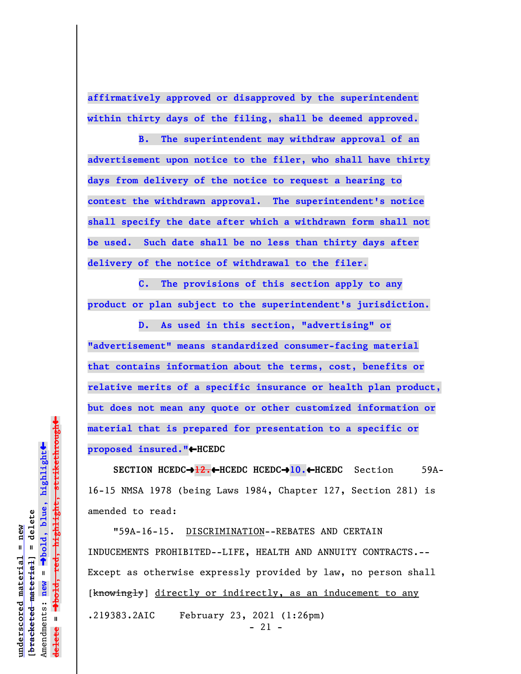**affirmatively approved or disapproved by the superintendent within thirty days of the filing, shall be deemed approved.**

**B. The superintendent may withdraw approval of an advertisement upon notice to the filer, who shall have thirty days from delivery of the notice to request a hearing to contest the withdrawn approval. The superintendent's notice shall specify the date after which a withdrawn form shall not be used. Such date shall be no less than thirty days after delivery of the notice of withdrawal to the filer.**

**C. The provisions of this section apply to any product or plan subject to the superintendent's jurisdiction.**

**D. As used in this section, "advertising" or "advertisement" means standardized consumer-facing material that contains information about the terms, cost, benefits or relative merits of a specific insurance or health plan product, but does not mean any quote or other customized information or material that is prepared for presentation to a specific or proposed insured."**»**HCEDC**

**SECTION HCEDC**º**12.**»**HCEDC HCEDC**º**10.**»**HCEDC** Section 59A-16-15 NMSA 1978 (being Laws 1984, Chapter 127, Section 281) is amended to read:

"59A-16-15. DISCRIMINATION--REBATES AND CERTAIN INDUCEMENTS PROHIBITED--LIFE, HEALTH AND ANNUITY CONTRACTS.-- Except as otherwise expressly provided by law, no person shall [knowingly] directly or indirectly, as an inducement to any .219383.2AIC February 23, 2021 (1:26pm) - 21 -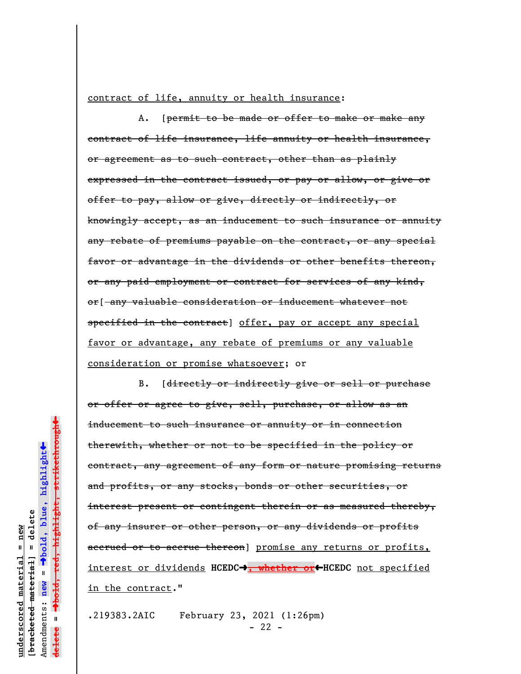contract of life, annuity or health insurance:

A. [permit to be made or offer to make or make any contract of life insurance, life annuity or health insurance, or agreement as to such contract, other than as plainly expressed in the contract issued, or pay or allow, or give or offer to pay, allow or give, directly or indirectly, or knowingly accept, as an inducement to such insurance or annuity any rebate of premiums payable on the contract, or any special favor or advantage in the dividends or other benefits thereon, or any paid employment or contract for services of any kind, or[ any valuable consideration or inducement whatever not specified in the contract] offer, pay or accept any special favor or advantage, any rebate of premiums or any valuable consideration or promise whatsoever; or

B. [directly or indirectly give or sell or purchase or offer or agree to give, sell, purchase, or allow as an inducement to such insurance or annuity or in connection therewith, whether or not to be specified in the policy or contract, any agreement of any form or nature promising returns and profits, or any stocks, bonds or other securities, or interest present or contingent therein or as measured thereby, of any insurer or other person, or any dividends or profits accrued or to accrue thereon] promise any returns or profits, interest or dividends HCEDC<sup>+</sup>, whether or</u><sup>+</sup>HCEDC not specified in the contract."

.219383.2AIC February 23, 2021 (1:26pm)  $- 22 -$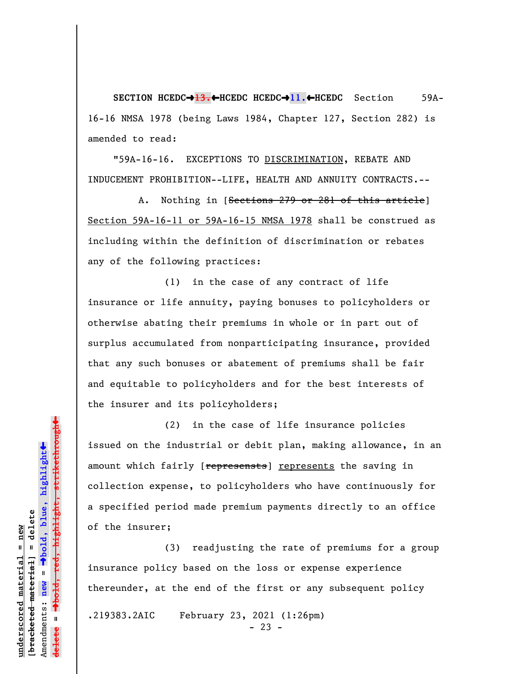**SECTION HCEDC**º**13.**»**HCEDC HCEDC**º**11.**»**HCEDC** Section 59A-16-16 NMSA 1978 (being Laws 1984, Chapter 127, Section 282) is amended to read:

"59A-16-16. EXCEPTIONS TO DISCRIMINATION, REBATE AND INDUCEMENT PROHIBITION--LIFE, HEALTH AND ANNUITY CONTRACTS.--

A. Nothing in [Sections 279 or 281 of this article] Section 59A-16-11 or 59A-16-15 NMSA 1978 shall be construed as including within the definition of discrimination or rebates any of the following practices:

(1) in the case of any contract of life insurance or life annuity, paying bonuses to policyholders or otherwise abating their premiums in whole or in part out of surplus accumulated from nonparticipating insurance, provided that any such bonuses or abatement of premiums shall be fair and equitable to policyholders and for the best interests of the insurer and its policyholders;

(2) in the case of life insurance policies issued on the industrial or debit plan, making allowance, in an amount which fairly [represensts] represents the saving in collection expense, to policyholders who have continuously for a specified period made premium payments directly to an office of the insurer;

(3) readjusting the rate of premiums for a group insurance policy based on the loss or expense experience thereunder, at the end of the first or any subsequent policy

.219383.2AIC February 23, 2021 (1:26pm)

 $- 23 -$ 

 $\ddag$ º**bold, red, highlight, strikethrough**  $\ddot{\bullet}$ º**bold, blue, highlight** bracketed material] = delete **[bracketed material] = delete** inderscored material = new **underscored material = new** Amendments: **new** =  $\bar{\mathbf{u}}$ Amendments: new  $\mathbf{u}$ **delete =**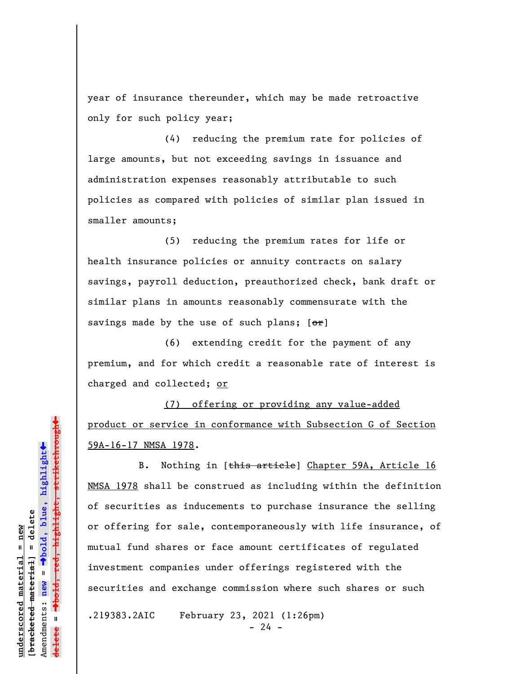year of insurance thereunder, which may be made retroactive only for such policy year;

(4) reducing the premium rate for policies of large amounts, but not exceeding savings in issuance and administration expenses reasonably attributable to such policies as compared with policies of similar plan issued in smaller amounts;

(5) reducing the premium rates for life or health insurance policies or annuity contracts on salary savings, payroll deduction, preauthorized check, bank draft or similar plans in amounts reasonably commensurate with the savings made by the use of such plans;  $[ $\sigma$  r]$ 

(6) extending credit for the payment of any premium, and for which credit a reasonable rate of interest is charged and collected; or

(7) offering or providing any value-added product or service in conformance with Subsection G of Section 59A-16-17 NMSA 1978.

B. Nothing in [this article] Chapter 59A, Article 16 NMSA 1978 shall be construed as including within the definition of securities as inducements to purchase insurance the selling or offering for sale, contemporaneously with life insurance, of mutual fund shares or face amount certificates of regulated investment companies under offerings registered with the securities and exchange commission where such shares or such

.219383.2AIC February 23, 2021 (1:26pm)

 $- 24 -$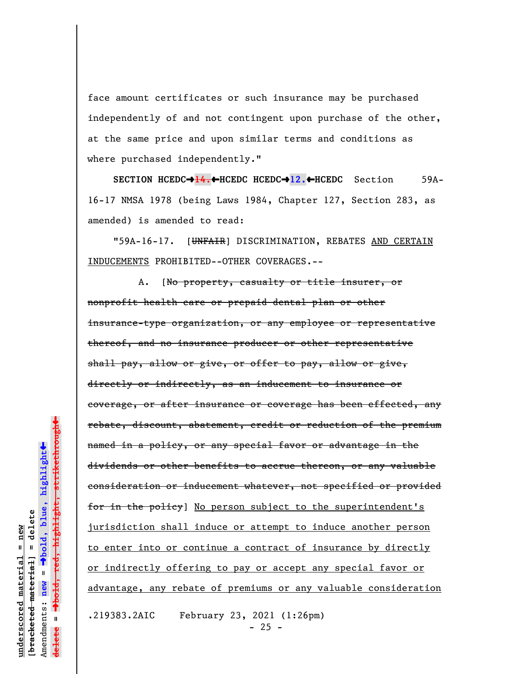face amount certificates or such insurance may be purchased independently of and not contingent upon purchase of the other, at the same price and upon similar terms and conditions as where purchased independently."

**SECTION HCEDC→14.←HCEDC HCEDC→12.←HCEDC** Section 59A-16-17 NMSA 1978 (being Laws 1984, Chapter 127, Section 283, as amended) is amended to read:

"59A-16-17. [UNFAIR] DISCRIMINATION, REBATES AND CERTAIN INDUCEMENTS PROHIBITED--OTHER COVERAGES.--

A. [No property, casualty or title insurer, or nonprofit health care or prepaid dental plan or other insurance-type organization, or any employee or representative thereof, and no insurance producer or other representative shall pay, allow or give, or offer to pay, allow or give, directly or indirectly, as an inducement to insurance or coverage, or after insurance or coverage has been effected, any rebate, discount, abatement, credit or reduction of the premium named in a policy, or any special favor or advantage in the dividends or other benefits to accrue thereon, or any valuable consideration or inducement whatever, not specified or provided for in the policy] No person subject to the superintendent's jurisdiction shall induce or attempt to induce another person to enter into or continue a contract of insurance by directly or indirectly offering to pay or accept any special favor or advantage, any rebate of premiums or any valuable consideration .219383.2AIC February 23, 2021 (1:26pm)

 $\ddag$ 

 $- 25 -$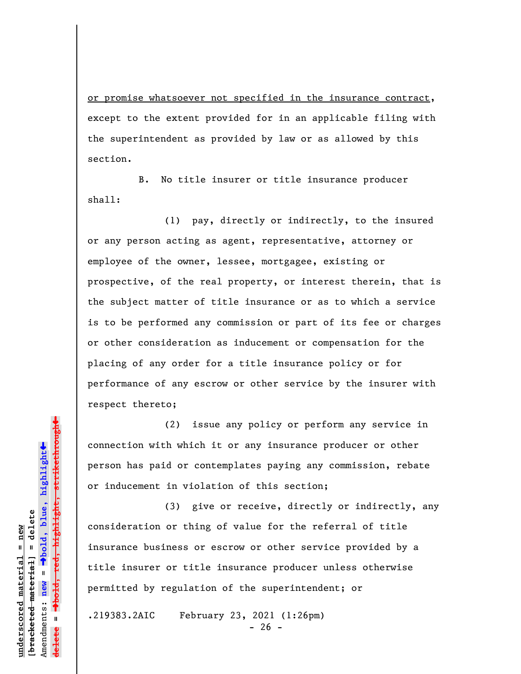or promise whatsoever not specified in the insurance contract, except to the extent provided for in an applicable filing with the superintendent as provided by law or as allowed by this section.

B. No title insurer or title insurance producer shall:

(1) pay, directly or indirectly, to the insured or any person acting as agent, representative, attorney or employee of the owner, lessee, mortgagee, existing or prospective, of the real property, or interest therein, that is the subject matter of title insurance or as to which a service is to be performed any commission or part of its fee or charges or other consideration as inducement or compensation for the placing of any order for a title insurance policy or for performance of any escrow or other service by the insurer with respect thereto;

(2) issue any policy or perform any service in connection with which it or any insurance producer or other person has paid or contemplates paying any commission, rebate or inducement in violation of this section;

(3) give or receive, directly or indirectly, any consideration or thing of value for the referral of title insurance business or escrow or other service provided by a title insurer or title insurance producer unless otherwise permitted by regulation of the superintendent; or

.219383.2AIC February 23, 2021 (1:26pm)  $- 26 -$ 

 $\ddag$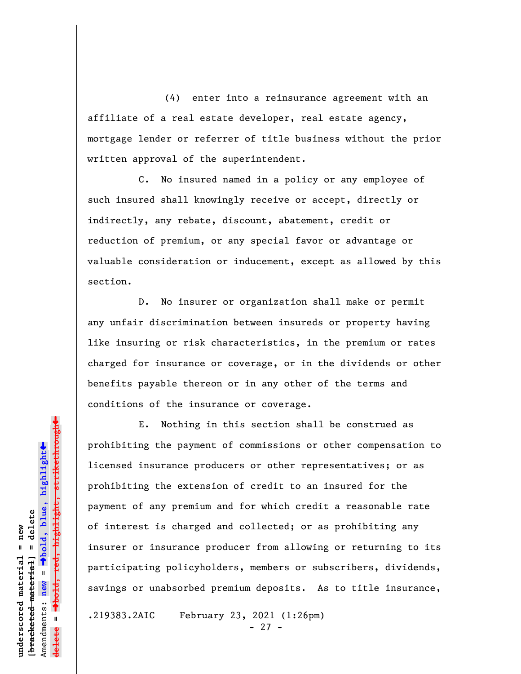(4) enter into a reinsurance agreement with an affiliate of a real estate developer, real estate agency, mortgage lender or referrer of title business without the prior written approval of the superintendent.

C. No insured named in a policy or any employee of such insured shall knowingly receive or accept, directly or indirectly, any rebate, discount, abatement, credit or reduction of premium, or any special favor or advantage or valuable consideration or inducement, except as allowed by this section.

D. No insurer or organization shall make or permit any unfair discrimination between insureds or property having like insuring or risk characteristics, in the premium or rates charged for insurance or coverage, or in the dividends or other benefits payable thereon or in any other of the terms and conditions of the insurance or coverage.

E. Nothing in this section shall be construed as prohibiting the payment of commissions or other compensation to licensed insurance producers or other representatives; or as prohibiting the extension of credit to an insured for the payment of any premium and for which credit a reasonable rate of interest is charged and collected; or as prohibiting any insurer or insurance producer from allowing or returning to its participating policyholders, members or subscribers, dividends, savings or unabsorbed premium deposits. As to title insurance,

.219383.2AIC February 23, 2021 (1:26pm) - 27 -

 $\ddag$ º**bold, red, highlight, strikethrough**  $\ddot{\bullet}$ º**bold, blue, highlight** bracketed material] = delete **[bracketed material] = delete** inderscored material = new **underscored material = new** Amendments: **new** =  $\bar{\mathbf{u}}$ Amendments: new **delete =**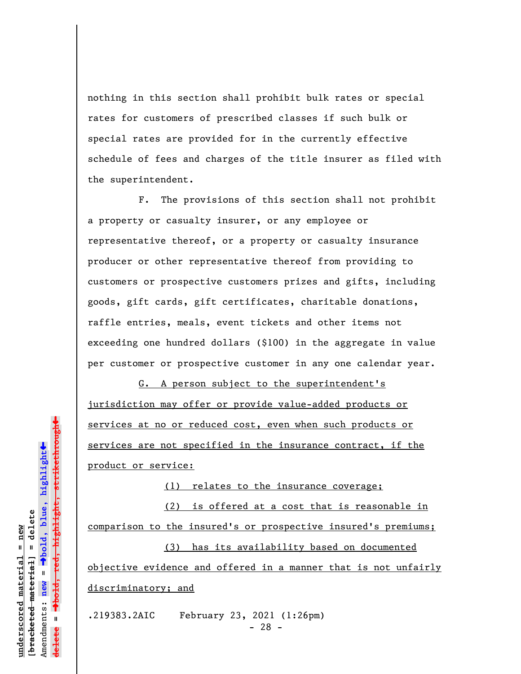nothing in this section shall prohibit bulk rates or special rates for customers of prescribed classes if such bulk or special rates are provided for in the currently effective schedule of fees and charges of the title insurer as filed with the superintendent.

F. The provisions of this section shall not prohibit a property or casualty insurer, or any employee or representative thereof, or a property or casualty insurance producer or other representative thereof from providing to customers or prospective customers prizes and gifts, including goods, gift cards, gift certificates, charitable donations, raffle entries, meals, event tickets and other items not exceeding one hundred dollars (\$100) in the aggregate in value per customer or prospective customer in any one calendar year.

G. A person subject to the superintendent's jurisdiction may offer or provide value-added products or services at no or reduced cost, even when such products or services are not specified in the insurance contract, if the product or service:

(1) relates to the insurance coverage;

(2) is offered at a cost that is reasonable in comparison to the insured's or prospective insured's premiums;

(3) has its availability based on documented objective evidence and offered in a manner that is not unfairly discriminatory; and

.219383.2AIC February 23, 2021 (1:26pm) - 28 -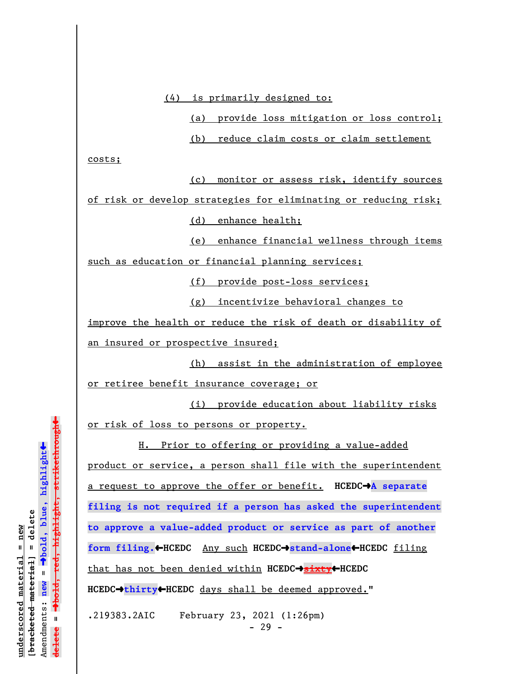(4) is primarily designed to:

(a) provide loss mitigation or loss control;

(b) reduce claim costs or claim settlement

costs;

(c) monitor or assess risk, identify sources

of risk or develop strategies for eliminating or reducing risk; (d) enhance health;

(e) enhance financial wellness through items

such as education or financial planning services;

(f) provide post-loss services;

(g) incentivize behavioral changes to

improve the health or reduce the risk of death or disability of an insured or prospective insured;

(h) assist in the administration of employee or retiree benefit insurance coverage; or

(i) provide education about liability risks or risk of loss to persons or property.

H. Prior to offering or providing a value-added product or service, a person shall file with the superintendent a request to approve the offer or benefit. **HCEDC**º**A separate filing is not required if a person has asked the superintendent to approve a value-added product or service as part of another form filing.**»**HCEDC** Any such **HCEDC**º**stand-alone**»**HCEDC** filing that has not been denied within **HCEDC**º**sixty**»**HCEDC HCEDC**º**thirty**»**HCEDC** days shall be deemed approved."

.219383.2AIC February 23, 2021 (1:26pm)  $- 29 -$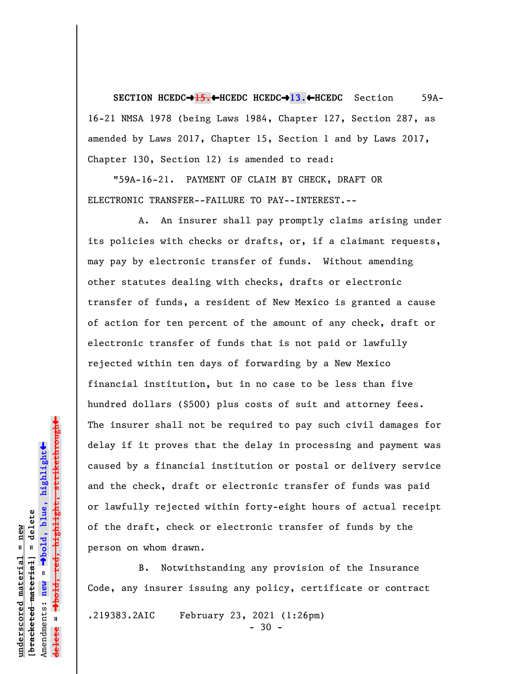**SECTION HCEDC**º**15.**»**HCEDC HCEDC**º**13.**»**HCEDC** Section 59A-16-21 NMSA 1978 (being Laws 1984, Chapter 127, Section 287, as amended by Laws 2017, Chapter 15, Section 1 and by Laws 2017, Chapter 130, Section 12) is amended to read:

"59A-16-21. PAYMENT OF CLAIM BY CHECK, DRAFT OR ELECTRONIC TRANSFER--FAILURE TO PAY--INTEREST.--

A. An insurer shall pay promptly claims arising under its policies with checks or drafts, or, if a claimant requests, may pay by electronic transfer of funds. Without amending other statutes dealing with checks, drafts or electronic transfer of funds, a resident of New Mexico is granted a cause of action for ten percent of the amount of any check, draft or electronic transfer of funds that is not paid or lawfully rejected within ten days of forwarding by a New Mexico financial institution, but in no case to be less than five hundred dollars (\$500) plus costs of suit and attorney fees. The insurer shall not be required to pay such civil damages for delay if it proves that the delay in processing and payment was caused by a financial institution or postal or delivery service and the check, draft or electronic transfer of funds was paid or lawfully rejected within forty-eight hours of actual receipt of the draft, check or electronic transfer of funds by the person on whom drawn.

B. Notwithstanding any provision of the Insurance Code, any insurer issuing any policy, certificate or contract .219383.2AIC February 23, 2021 (1:26pm) - 30 -

º**bold, red, highlight, strikethrough**  $\ddot{\bullet}$ º**bold, blue, highlight**  $b$ racketed material] = delete **[bracketed material] = delete** inderscored material = new **underscored material = new** Amendments: **new** =  $\mathbf{u}$ Amendments: new **delete =**

 $\ddag$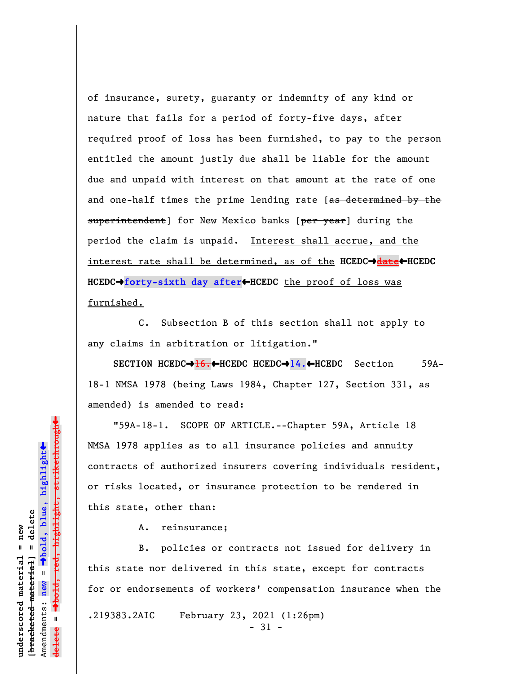of insurance, surety, guaranty or indemnity of any kind or nature that fails for a period of forty-five days, after required proof of loss has been furnished, to pay to the person entitled the amount justly due shall be liable for the amount due and unpaid with interest on that amount at the rate of one and one-half times the prime lending rate [as determined by the superintendent] for New Mexico banks [per year] during the period the claim is unpaid. Interest shall accrue, and the interest rate shall be determined, as of the HCEDC $\rightarrow$ date</u>+HCEDC **HCEDC**º**forty-sixth day after**»**HCEDC** the proof of loss was furnished.

C. Subsection B of this section shall not apply to any claims in arbitration or litigation."

**SECTION HCEDC**º**16.**»**HCEDC HCEDC**º**14.**»**HCEDC** Section 59A-18-1 NMSA 1978 (being Laws 1984, Chapter 127, Section 331, as amended) is amended to read:

"59A-18-1. SCOPE OF ARTICLE.--Chapter 59A, Article 18 NMSA 1978 applies as to all insurance policies and annuity contracts of authorized insurers covering individuals resident, or risks located, or insurance protection to be rendered in this state, other than:

A. reinsurance;

B. policies or contracts not issued for delivery in this state nor delivered in this state, except for contracts for or endorsements of workers' compensation insurance when the .219383.2AIC February 23, 2021 (1:26pm) - 31 -

Dold, red, highlight, strikethrough º**bold, red, highlight, strikethrough**  $\ddot{\bullet}$ º**bold, blue, highlight** bracketed material] = delete **[bracketed material] = delete** mderscored material = new **underscored material = new** Amendments: **new** =  $\mathbf{u}$ Amendments: new **delete =**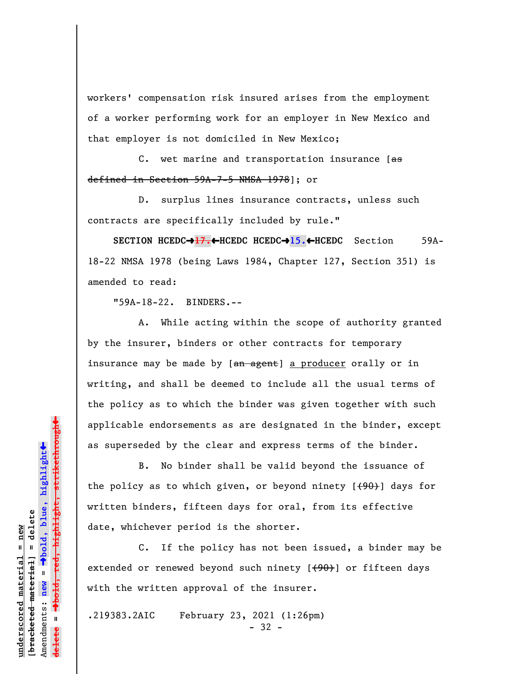workers' compensation risk insured arises from the employment of a worker performing work for an employer in New Mexico and that employer is not domiciled in New Mexico;

C. wet marine and transportation insurance  $[$ as defined in Section 59A-7-5 NMSA 1978]; or

D. surplus lines insurance contracts, unless such contracts are specifically included by rule."

**SECTION HCEDC**º**17.**»**HCEDC HCEDC**º**15.**»**HCEDC** Section 59A-18-22 NMSA 1978 (being Laws 1984, Chapter 127, Section 351) is amended to read:

"59A-18-22. BINDERS.--

A. While acting within the scope of authority granted by the insurer, binders or other contracts for temporary insurance may be made by [an agent] a producer orally or in writing, and shall be deemed to include all the usual terms of the policy as to which the binder was given together with such applicable endorsements as are designated in the binder, except as superseded by the clear and express terms of the binder.

B. No binder shall be valid beyond the issuance of the policy as to which given, or beyond ninety  $[490]$  days for written binders, fifteen days for oral, from its effective date, whichever period is the shorter.

C. If the policy has not been issued, a binder may be extended or renewed beyond such ninety  $[490]$  or fifteen days with the written approval of the insurer.

.219383.2AIC February 23, 2021 (1:26pm)

- 32 -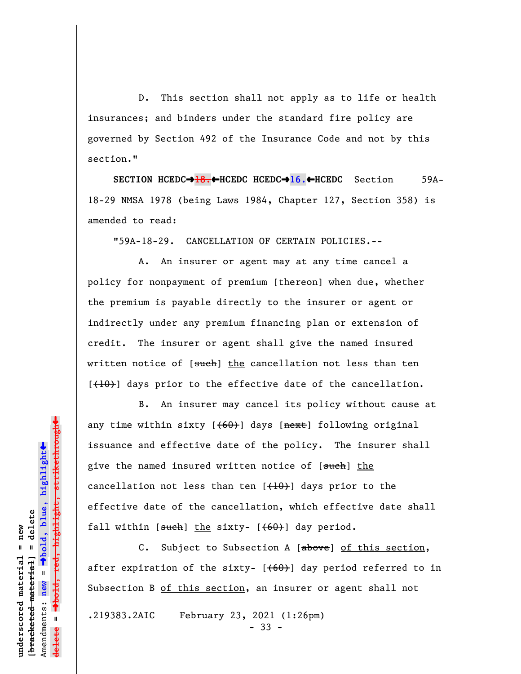D. This section shall not apply as to life or health insurances; and binders under the standard fire policy are governed by Section 492 of the Insurance Code and not by this section."

**SECTION HCEDC→<del>18.↓</del>HCEDC HCEDC→16.←HCEDC** Section 59A-18-29 NMSA 1978 (being Laws 1984, Chapter 127, Section 358) is amended to read:

"59A-18-29. CANCELLATION OF CERTAIN POLICIES.--

A. An insurer or agent may at any time cancel a policy for nonpayment of premium [thereon] when due, whether the premium is payable directly to the insurer or agent or indirectly under any premium financing plan or extension of credit. The insurer or agent shall give the named insured written notice of [such] the cancellation not less than ten  $[\frac{(10)}{10}]$  days prior to the effective date of the cancellation.

B. An insurer may cancel its policy without cause at any time within sixty  $[+60]$  days  $[nexE]$  following original issuance and effective date of the policy. The insurer shall give the named insured written notice of [such] the cancellation not less than ten  $[{+10}]$  days prior to the effective date of the cancellation, which effective date shall fall within  $[s<sub>u</sub>ch]$  the sixty-  $[ (60) ]$  day period.

C. Subject to Subsection A [above] of this section, after expiration of the sixty-  $[ (60) ]$  day period referred to in Subsection B of this section, an insurer or agent shall not

.219383.2AIC February 23, 2021 (1:26pm) - 33 -

º**bold, red, highlight, strikethrough**  $\ddot{\bullet}$ º**bold, blue, highlight**  $b$ racketed material] = delete **[bracketed material] = delete** inderscored material = new **underscored material = new** Amendments: **new** =  $\mathbf{u}$ Amendments: new **delete =**

 $\ddag$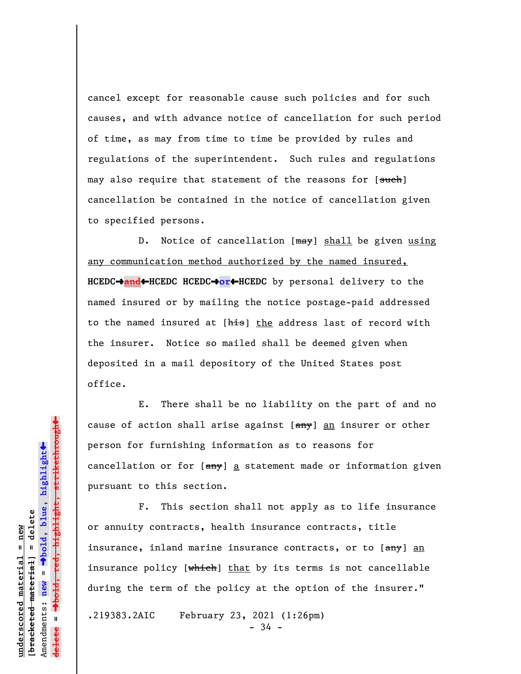cancel except for reasonable cause such policies and for such causes, and with advance notice of cancellation for such period of time, as may from time to time be provided by rules and regulations of the superintendent. Such rules and regulations may also require that statement of the reasons for [such] cancellation be contained in the notice of cancellation given to specified persons.

D. Notice of cancellation [may] shall be given using any communication method authorized by the named insured, **HCEDC**º**and**»**HCEDC HCEDC**º**or**»**HCEDC** by personal delivery to the named insured or by mailing the notice postage-paid addressed to the named insured at [his] the address last of record with the insurer. Notice so mailed shall be deemed given when deposited in a mail depository of the United States post office.

E. There shall be no liability on the part of and no cause of action shall arise against [any] an insurer or other person for furnishing information as to reasons for cancellation or for  $\left[\frac{amy}{m}\right]$  a statement made or information given pursuant to this section.

F. This section shall not apply as to life insurance or annuity contracts, health insurance contracts, title insurance, inland marine insurance contracts, or to [any] an insurance policy [which] that by its terms is not cancellable during the term of the policy at the option of the insurer."

.219383.2AIC February 23, 2021 (1:26pm)

- 34 -

 $\ddag$ º**bold, red, highlight, strikethrough**  $\ddot{\bullet}$ º**bold, blue, highlight** bracketed material] = delete **[bracketed material] = delete** inderscored material = new **underscored material = new** Amendments: **new** =  $\mathbf{u}$ Amendments: new **delete =**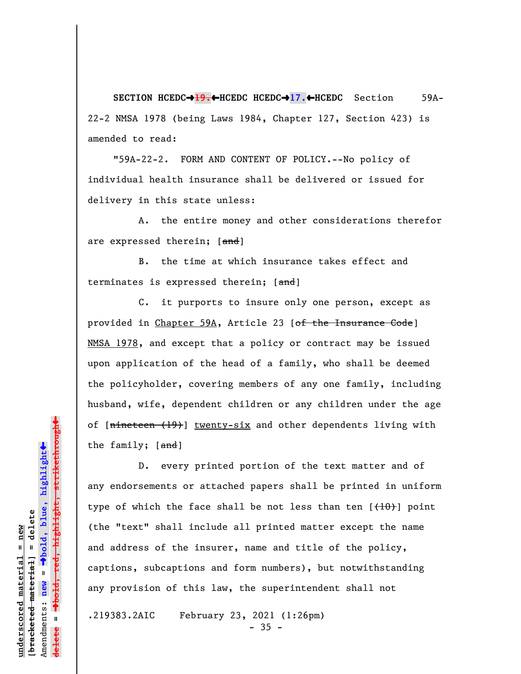**SECTION HCEDC**º**19.**»**HCEDC HCEDC**º**17.**»**HCEDC** Section 59A-22-2 NMSA 1978 (being Laws 1984, Chapter 127, Section 423) is amended to read:

"59A-22-2. FORM AND CONTENT OF POLICY.--No policy of individual health insurance shall be delivered or issued for delivery in this state unless:

A. the entire money and other considerations therefor are expressed therein; [and]

B. the time at which insurance takes effect and terminates is expressed therein; [and]

C. it purports to insure only one person, except as provided in Chapter 59A, Article 23 [of the Insurance Code] NMSA 1978, and except that a policy or contract may be issued upon application of the head of a family, who shall be deemed the policyholder, covering members of any one family, including husband, wife, dependent children or any children under the age of [nineteen (19)] twenty-six and other dependents living with the family; [and]

D. every printed portion of the text matter and of any endorsements or attached papers shall be printed in uniform type of which the face shall be not less than ten  $\{+10\}$  point (the "text" shall include all printed matter except the name and address of the insurer, name and title of the policy, captions, subcaptions and form numbers), but notwithstanding any provision of this law, the superintendent shall not

.219383.2AIC February 23, 2021 (1:26pm)

 $-35 -$ 

 $\ddag$ º**bold, red, highlight, strikethrough**  $\ddot{\bullet}$ º**bold, blue, highlight**  $b$ racketed material] = delete **[bracketed material] = delete** inderscored material = new **underscored material = new** Amendments: **new** =  $\mathbf{u}$ Amendments: new **delete =**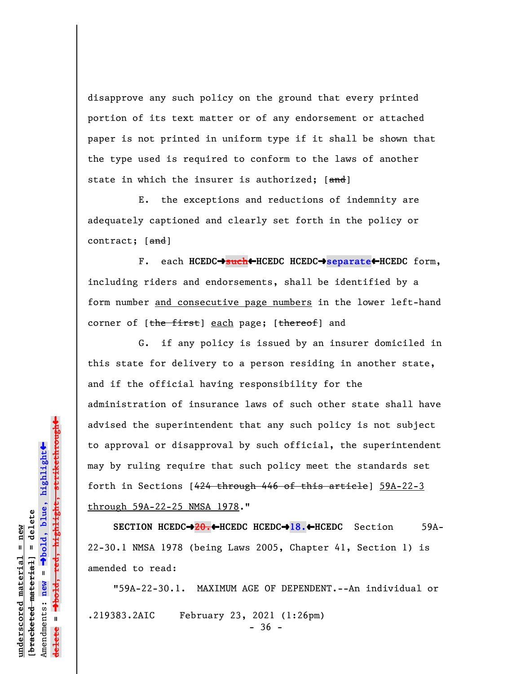disapprove any such policy on the ground that every printed portion of its text matter or of any endorsement or attached paper is not printed in uniform type if it shall be shown that the type used is required to conform to the laws of another state in which the insurer is authorized; [and]

E. the exceptions and reductions of indemnity are adequately captioned and clearly set forth in the policy or contract;  $[\text{and}]$ 

F. each **HCEDC**º**such**»**HCEDC HCEDC**º**separate**»**HCEDC** form, including riders and endorsements, shall be identified by a form number and consecutive page numbers in the lower left-hand corner of [the first] each page; [thereof] and

G. if any policy is issued by an insurer domiciled in this state for delivery to a person residing in another state, and if the official having responsibility for the administration of insurance laws of such other state shall have advised the superintendent that any such policy is not subject to approval or disapproval by such official, the superintendent may by ruling require that such policy meet the standards set forth in Sections [424 through 446 of this article] 59A-22-3 through 59A-22-25 NMSA 1978."

**SECTION HCEDC**º**20.**»**HCEDC HCEDC**º**18.**»**HCEDC** Section 59A-22-30.1 NMSA 1978 (being Laws 2005, Chapter 41, Section 1) is amended to read:

"59A-22-30.1. MAXIMUM AGE OF DEPENDENT.--An individual or .219383.2AIC February 23, 2021 (1:26pm) - 36 -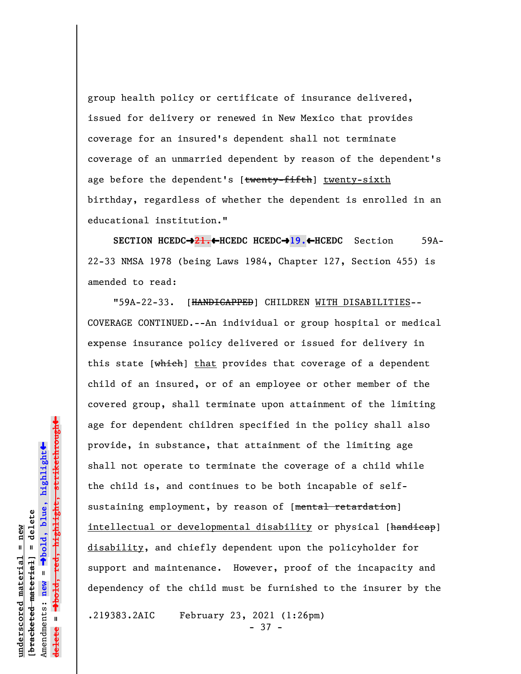group health policy or certificate of insurance delivered, issued for delivery or renewed in New Mexico that provides coverage for an insured's dependent shall not terminate coverage of an unmarried dependent by reason of the dependent's age before the dependent's [twenty-fifth] twenty-sixth birthday, regardless of whether the dependent is enrolled in an educational institution."

**SECTION HCEDC**º**21.**»**HCEDC HCEDC**º**19.**»**HCEDC** Section 59A-22-33 NMSA 1978 (being Laws 1984, Chapter 127, Section 455) is amended to read:

"59A-22-33. [HANDICAPPED] CHILDREN WITH DISABILITIES-- COVERAGE CONTINUED.--An individual or group hospital or medical expense insurance policy delivered or issued for delivery in this state  $[**which**]$  that provides that coverage of a dependent child of an insured, or of an employee or other member of the covered group, shall terminate upon attainment of the limiting age for dependent children specified in the policy shall also provide, in substance, that attainment of the limiting age shall not operate to terminate the coverage of a child while the child is, and continues to be both incapable of selfsustaining employment, by reason of [mental retardation] intellectual or developmental disability or physical [handicap] disability, and chiefly dependent upon the policyholder for support and maintenance. However, proof of the incapacity and dependency of the child must be furnished to the insurer by the

.219383.2AIC February 23, 2021 (1:26pm) - 37 -

º**bold, red, highlight, strikethrough**  $\ddot{\bullet}$ º**bold, blue, highlight**  $b$ racketed material] = delete **[bracketed material] = delete** inderscored material = new **underscored material = new** Amendments: **new** =  $\mathbf{u}$ Amendments: new **delete =**

 $\ddag$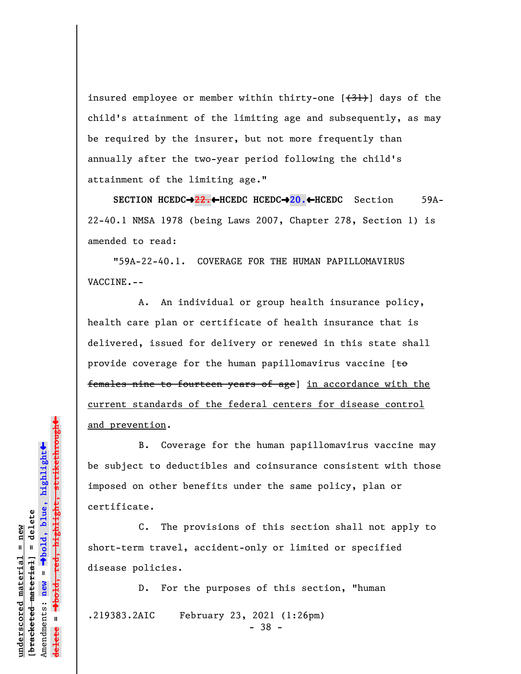insured employee or member within thirty-one  $[\frac{(31)}{]}$  days of the child's attainment of the limiting age and subsequently, as may be required by the insurer, but not more frequently than annually after the two-year period following the child's attainment of the limiting age."

**SECTION HCEDC→22.←HCEDC HCEDC→20.←HCEDC** Section 59A-22-40.1 NMSA 1978 (being Laws 2007, Chapter 278, Section 1) is amended to read:

"59A-22-40.1. COVERAGE FOR THE HUMAN PAPILLOMAVIRUS VACCINE.--

A. An individual or group health insurance policy, health care plan or certificate of health insurance that is delivered, issued for delivery or renewed in this state shall provide coverage for the human papillomavirus vaccine  $[t\Theta]$ females nine to fourteen years of age] in accordance with the current standards of the federal centers for disease control and prevention.

B. Coverage for the human papillomavirus vaccine may be subject to deductibles and coinsurance consistent with those imposed on other benefits under the same policy, plan or certificate.

C. The provisions of this section shall not apply to short-term travel, accident-only or limited or specified disease policies.

- 38 -

D. For the purposes of this section, "human .219383.2AIC February 23, 2021 (1:26pm)

bold, red, highlight, strikethrough º**bold, red, highlight, strikethrough**  $\ddot{\bullet}$ º**bold, blue, highlight** bracketed material] = delete **[bracketed material] = delete** inderscored material = new **underscored material = new** Amendments: **new** =  $\bar{\mathbf{u}}$ Amendments: new **delete =**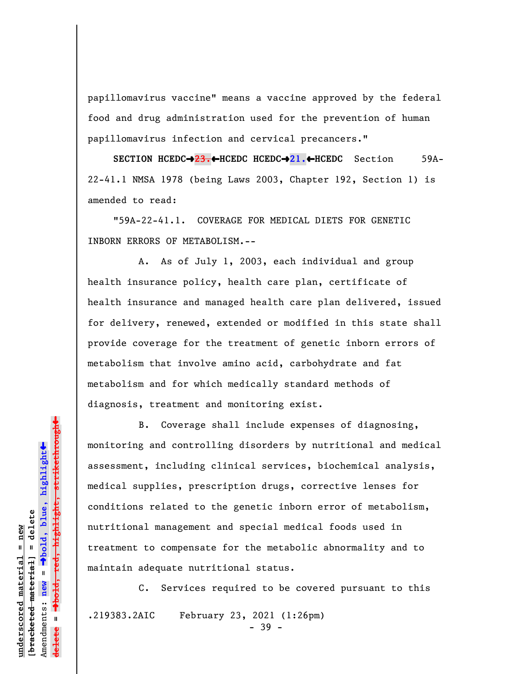papillomavirus vaccine" means a vaccine approved by the federal food and drug administration used for the prevention of human papillomavirus infection and cervical precancers."

**SECTION HCEDC**º**23.**»**HCEDC HCEDC**º**21.**»**HCEDC** Section 59A-22-41.1 NMSA 1978 (being Laws 2003, Chapter 192, Section 1) is amended to read:

"59A-22-41.1. COVERAGE FOR MEDICAL DIETS FOR GENETIC INBORN ERRORS OF METABOLISM.--

A. As of July 1, 2003, each individual and group health insurance policy, health care plan, certificate of health insurance and managed health care plan delivered, issued for delivery, renewed, extended or modified in this state shall provide coverage for the treatment of genetic inborn errors of metabolism that involve amino acid, carbohydrate and fat metabolism and for which medically standard methods of diagnosis, treatment and monitoring exist.

B. Coverage shall include expenses of diagnosing, monitoring and controlling disorders by nutritional and medical assessment, including clinical services, biochemical analysis, medical supplies, prescription drugs, corrective lenses for conditions related to the genetic inborn error of metabolism, nutritional management and special medical foods used in treatment to compensate for the metabolic abnormality and to maintain adequate nutritional status.

C. Services required to be covered pursuant to this .219383.2AIC February 23, 2021 (1:26pm) - 39 -

 $\rightarrow$ bold, red, highlight, strikethrough º**bold, red, highlight, strikethrough** º**bold, blue, highlight**  $b$ racketed material] = delete **[bracketed material] = delete** inderscored material = new **underscored material = new** Amendments: **new** =  $\bar{\mathbf{u}}$ Amendments: new **delete =**

 $\ddot{\bullet}$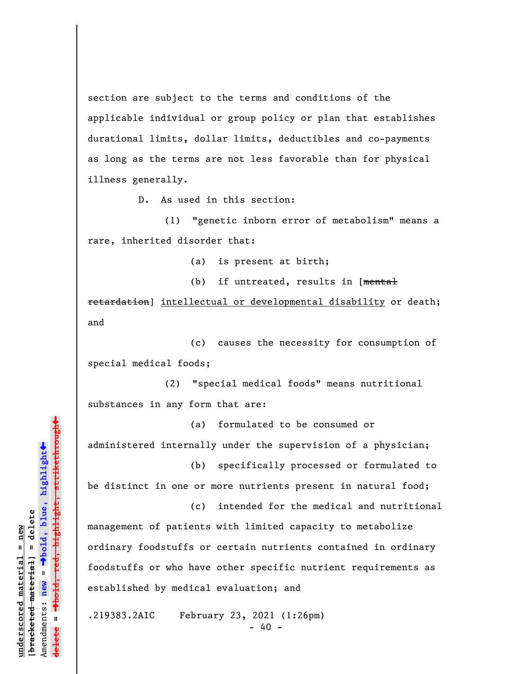section are subject to the terms and conditions of the applicable individual or group policy or plan that establishes durational limits, dollar limits, deductibles and co-payments as long as the terms are not less favorable than for physical illness generally.

D. As used in this section:

(1) "genetic inborn error of metabolism" means a rare, inherited disorder that:

(a) is present at birth;

(b) if untreated, results in [mental retardation] intellectual or developmental disability or death; and

(c) causes the necessity for consumption of special medical foods;

(2) "special medical foods" means nutritional substances in any form that are:

(a) formulated to be consumed or administered internally under the supervision of a physician;

(b) specifically processed or formulated to be distinct in one or more nutrients present in natural food;

(c) intended for the medical and nutritional management of patients with limited capacity to metabolize ordinary foodstuffs or certain nutrients contained in ordinary foodstuffs or who have other specific nutrient requirements as established by medical evaluation; and

.219383.2AIC February 23, 2021 (1:26pm)  $- 40 -$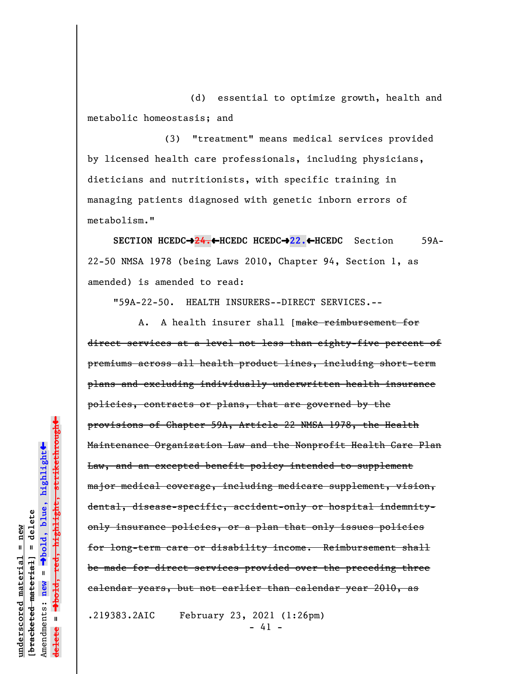(d) essential to optimize growth, health and metabolic homeostasis; and

(3) "treatment" means medical services provided by licensed health care professionals, including physicians, dieticians and nutritionists, with specific training in managing patients diagnosed with genetic inborn errors of metabolism."

**SECTION HCEDC**º**24.**»**HCEDC HCEDC**º**22.**»**HCEDC** Section 59A-22-50 NMSA 1978 (being Laws 2010, Chapter 94, Section 1, as amended) is amended to read:

"59A-22-50. HEALTH INSURERS--DIRECT SERVICES.--

A. A health insurer shall [make reimbursement for direct services at a level not less than eighty-five percent of premiums across all health product lines, including short-term plans and excluding individually underwritten health insurance policies, contracts or plans, that are governed by the provisions of Chapter 59A, Article 22 NMSA 1978, the Health Maintenance Organization Law and the Nonprofit Health Care Plan Law, and an excepted benefit policy intended to supplement major medical coverage, including medicare supplement, vision, dental, disease-specific, accident-only or hospital indemnityonly insurance policies, or a plan that only issues policies for long-term care or disability income. Reimbursement shall be made for direct services provided over the preceding three calendar years, but not earlier than calendar year 2010, as

.219383.2AIC February 23, 2021 (1:26pm)  $- 41 -$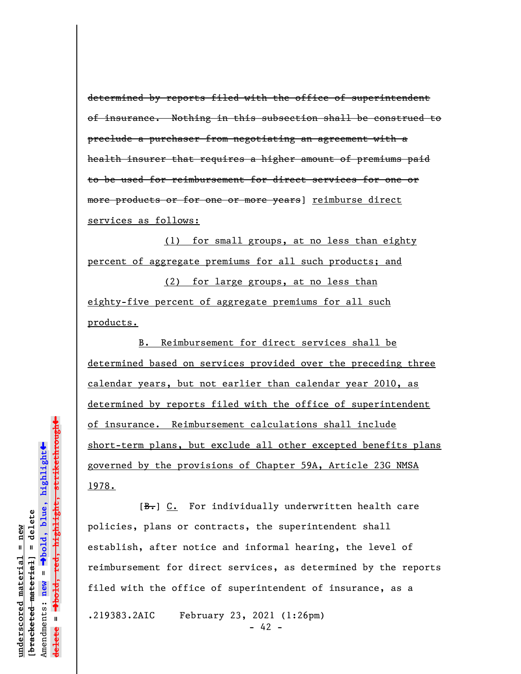determined by reports filed with the office of superintendent of insurance. Nothing in this subsection shall be construed to preclude a purchaser from negotiating an agreement with a health insurer that requires a higher amount of premiums paid to be used for reimbursement for direct services for one or more products or for one or more years] reimburse direct services as follows:

(1) for small groups, at no less than eighty percent of aggregate premiums for all such products; and

(2) for large groups, at no less than eighty-five percent of aggregate premiums for all such products.

B. Reimbursement for direct services shall be determined based on services provided over the preceding three calendar years, but not earlier than calendar year 2010, as determined by reports filed with the office of superintendent of insurance. Reimbursement calculations shall include short-term plans, but exclude all other excepted benefits plans governed by the provisions of Chapter 59A, Article 23G NMSA 1978.

[B.] C. For individually underwritten health care policies, plans or contracts, the superintendent shall establish, after notice and informal hearing, the level of reimbursement for direct services, as determined by the reports filed with the office of superintendent of insurance, as a

.219383.2AIC February 23, 2021 (1:26pm)

 $- 42 -$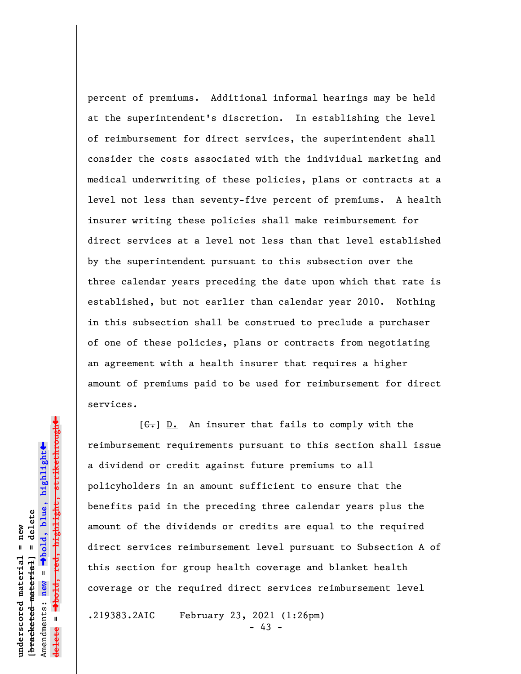percent of premiums. Additional informal hearings may be held at the superintendent's discretion. In establishing the level of reimbursement for direct services, the superintendent shall consider the costs associated with the individual marketing and medical underwriting of these policies, plans or contracts at a level not less than seventy-five percent of premiums. A health insurer writing these policies shall make reimbursement for direct services at a level not less than that level established by the superintendent pursuant to this subsection over the three calendar years preceding the date upon which that rate is established, but not earlier than calendar year 2010. Nothing in this subsection shall be construed to preclude a purchaser of one of these policies, plans or contracts from negotiating an agreement with a health insurer that requires a higher amount of premiums paid to be used for reimbursement for direct services.

 $[G<sub>r</sub>]$  D. An insurer that fails to comply with the reimbursement requirements pursuant to this section shall issue a dividend or credit against future premiums to all policyholders in an amount sufficient to ensure that the benefits paid in the preceding three calendar years plus the amount of the dividends or credits are equal to the required direct services reimbursement level pursuant to Subsection A of this section for group health coverage and blanket health coverage or the required direct services reimbursement level

.219383.2AIC February 23, 2021 (1:26pm)

 $- 43 -$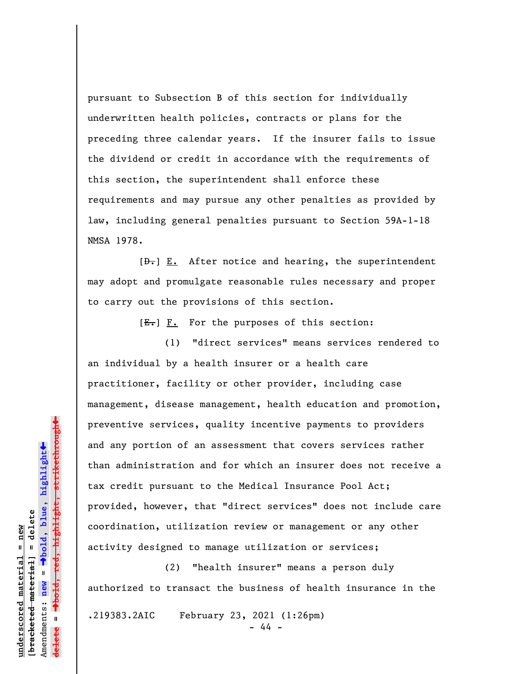pursuant to Subsection B of this section for individually underwritten health policies, contracts or plans for the preceding three calendar years. If the insurer fails to issue the dividend or credit in accordance with the requirements of this section, the superintendent shall enforce these requirements and may pursue any other penalties as provided by law, including general penalties pursuant to Section 59A-1-18 NMSA 1978.

 $[\frac{D-1}{2}]$  E. After notice and hearing, the superintendent may adopt and promulgate reasonable rules necessary and proper to carry out the provisions of this section.

 $[E-]$   $F.$  For the purposes of this section:

(1) "direct services" means services rendered to an individual by a health insurer or a health care practitioner, facility or other provider, including case management, disease management, health education and promotion, preventive services, quality incentive payments to providers and any portion of an assessment that covers services rather than administration and for which an insurer does not receive a tax credit pursuant to the Medical Insurance Pool Act; provided, however, that "direct services" does not include care coordination, utilization review or management or any other activity designed to manage utilization or services;

(2) "health insurer" means a person duly authorized to transact the business of health insurance in the

.219383.2AIC February 23, 2021 (1:26pm)

- 44 -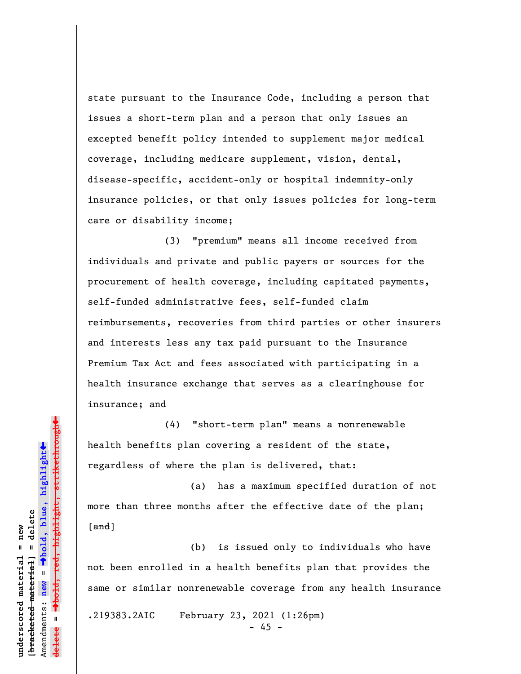state pursuant to the Insurance Code, including a person that issues a short-term plan and a person that only issues an excepted benefit policy intended to supplement major medical coverage, including medicare supplement, vision, dental, disease-specific, accident-only or hospital indemnity-only insurance policies, or that only issues policies for long-term care or disability income;

(3) "premium" means all income received from individuals and private and public payers or sources for the procurement of health coverage, including capitated payments, self-funded administrative fees, self-funded claim reimbursements, recoveries from third parties or other insurers and interests less any tax paid pursuant to the Insurance Premium Tax Act and fees associated with participating in a health insurance exchange that serves as a clearinghouse for insurance; and

(4) "short-term plan" means a nonrenewable health benefits plan covering a resident of the state, regardless of where the plan is delivered, that:

(a) has a maximum specified duration of not more than three months after the effective date of the plan;  $\lceil$  and  $\rceil$ 

(b) is issued only to individuals who have not been enrolled in a health benefits plan that provides the same or similar nonrenewable coverage from any health insurance

.219383.2AIC February 23, 2021 (1:26pm)

 $- 45 -$ 

»<del>highlight, strikethrough</del> º**bold, red, highlight, strikethrough**  $\ddot{\bullet}$ º**bold, blue, highlight** bracketed material] = delete **[bracketed material] = delete** inderscored material = new **underscored material = new** Amendments: **new** =  $\bar{\mathbf{u}}$ Amendments: new **delete =**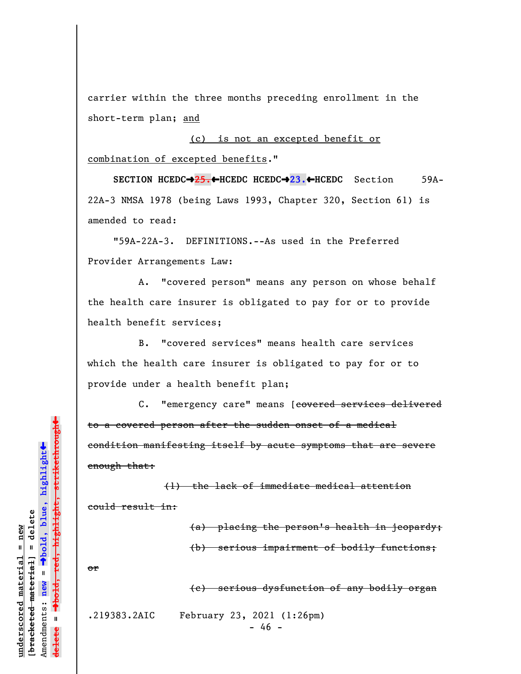carrier within the three months preceding enrollment in the short-term plan; and

(c) is not an excepted benefit or combination of excepted benefits."

**SECTION HCEDC**º**25.**»**HCEDC HCEDC**º**23.**»**HCEDC** Section 59A-22A-3 NMSA 1978 (being Laws 1993, Chapter 320, Section 61) is amended to read:

"59A-22A-3. DEFINITIONS.--As used in the Preferred Provider Arrangements Law:

A. "covered person" means any person on whose behalf the health care insurer is obligated to pay for or to provide health benefit services;

B. "covered services" means health care services which the health care insurer is obligated to pay for or to provide under a health benefit plan;

C. "emergency care" means [covered services delivered to a covered person after the sudden onset of a medical condition manifesting itself by acute symptoms that are severe enough that:

(1) the lack of immediate medical attention could result in:

> (a) placing the person's health in jeopardy; (b) serious impairment of bodily functions;

or

(c) serious dysfunction of any bodily organ

.219383.2AIC February 23, 2021 (1:26pm)

 $- 46 -$ 

º**bold, red, highlight, strikethrough**  $\ddot{\bullet}$ º**bold, blue, highlight** bracketed material] = delete **[bracketed material] = delete** inderscored material = new **underscored material = new** Amendments: **new** =  $\mathbf{u}$ Amendments: new **delete =**

 $\ddag$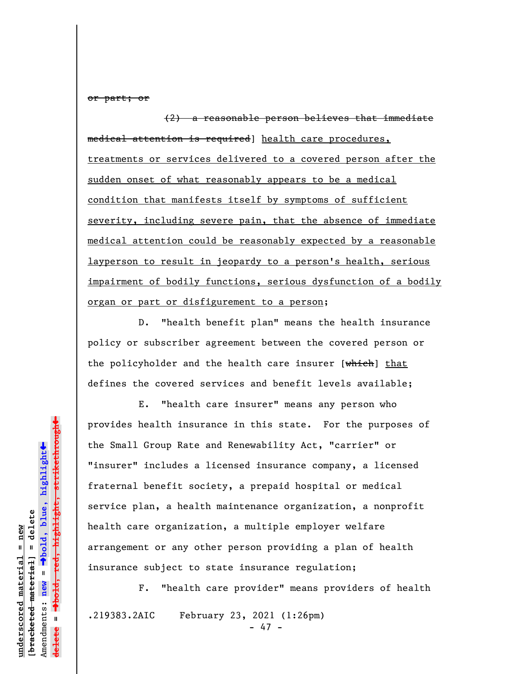or part; or

(2) a reasonable person believes that immediate medical attention is required] health care procedures, treatments or services delivered to a covered person after the sudden onset of what reasonably appears to be a medical condition that manifests itself by symptoms of sufficient severity, including severe pain, that the absence of immediate medical attention could be reasonably expected by a reasonable layperson to result in jeopardy to a person's health, serious impairment of bodily functions, serious dysfunction of a bodily organ or part or disfigurement to a person;

D. "health benefit plan" means the health insurance policy or subscriber agreement between the covered person or the policyholder and the health care insurer [which] that defines the covered services and benefit levels available;

E. "health care insurer" means any person who provides health insurance in this state. For the purposes of the Small Group Rate and Renewability Act, "carrier" or "insurer" includes a licensed insurance company, a licensed fraternal benefit society, a prepaid hospital or medical service plan, a health maintenance organization, a nonprofit health care organization, a multiple employer welfare arrangement or any other person providing a plan of health insurance subject to state insurance regulation;

F. "health care provider" means providers of health .219383.2AIC February 23, 2021 (1:26pm)

- 47 -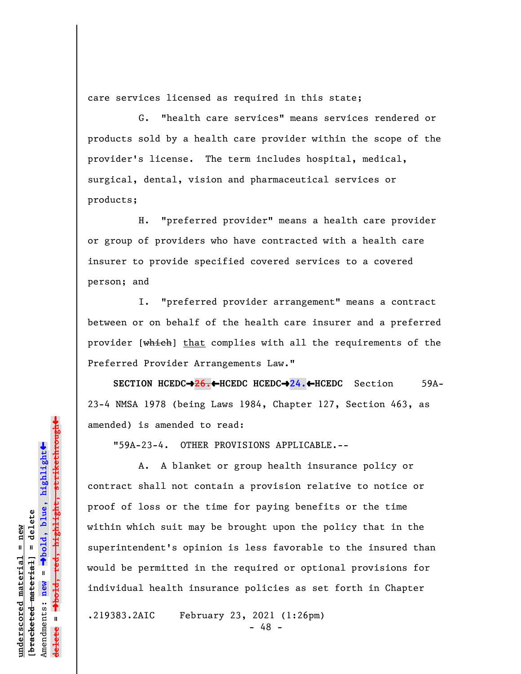care services licensed as required in this state;

G. "health care services" means services rendered or products sold by a health care provider within the scope of the provider's license. The term includes hospital, medical, surgical, dental, vision and pharmaceutical services or products;

H. "preferred provider" means a health care provider or group of providers who have contracted with a health care insurer to provide specified covered services to a covered person; and

I. "preferred provider arrangement" means a contract between or on behalf of the health care insurer and a preferred provider [which] that complies with all the requirements of the Preferred Provider Arrangements Law."

**SECTION HCEDC**º**26.**»**HCEDC HCEDC**º**24.**»**HCEDC** Section 59A-23-4 NMSA 1978 (being Laws 1984, Chapter 127, Section 463, as amended) is amended to read:

"59A-23-4. OTHER PROVISIONS APPLICABLE.--

A. A blanket or group health insurance policy or contract shall not contain a provision relative to notice or proof of loss or the time for paying benefits or the time within which suit may be brought upon the policy that in the superintendent's opinion is less favorable to the insured than would be permitted in the required or optional provisions for individual health insurance policies as set forth in Chapter

.219383.2AIC February 23, 2021 (1:26pm)

- 48 -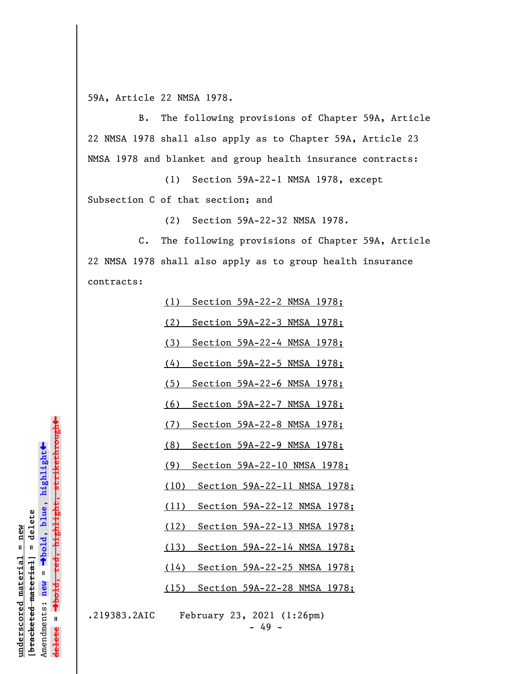59A, Article 22 NMSA 1978.

B. The following provisions of Chapter 59A, Article 22 NMSA 1978 shall also apply as to Chapter 59A, Article 23 NMSA 1978 and blanket and group health insurance contracts:

(1) Section 59A-22-1 NMSA 1978, except Subsection C of that section; and

(2) Section 59A-22-32 NMSA 1978.

C. The following provisions of Chapter 59A, Article 22 NMSA 1978 shall also apply as to group health insurance contracts:

(1) Section 59A-22-2 NMSA 1978;

(2) Section 59A-22-3 NMSA 1978;

(3) Section 59A-22-4 NMSA 1978;

(4) Section 59A-22-5 NMSA 1978;

(5) Section 59A-22-6 NMSA 1978;

(6) Section 59A-22-7 NMSA 1978;

(7) Section 59A-22-8 NMSA 1978;

(8) Section 59A-22-9 NMSA 1978;

(9) Section 59A-22-10 NMSA 1978;

(10) Section 59A-22-11 NMSA 1978;

(11) Section 59A-22-12 NMSA 1978;

(12) Section 59A-22-13 NMSA 1978;

(13) Section 59A-22-14 NMSA 1978;

(14) Section 59A-22-25 NMSA 1978;

(15) Section 59A-22-28 NMSA 1978;

.219383.2AIC February 23, 2021 (1:26pm) - 49 -

»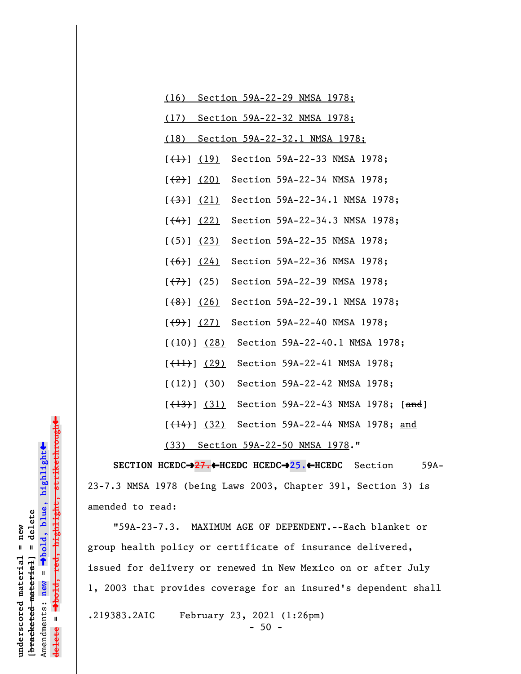| (16)                    |                           | Section 59A-22-29 NMSA 1978;                                                   |  |  |  |
|-------------------------|---------------------------|--------------------------------------------------------------------------------|--|--|--|
|                         |                           | (17) Section 59A-22-32 NMSA 1978;                                              |  |  |  |
|                         |                           | (18) Section 59A-22-32.1 NMSA 1978;                                            |  |  |  |
|                         |                           | $[$ $($ $\frac{19}{ }$ Section 59A-22-33 NMSA 1978;                            |  |  |  |
|                         | $[\frac{(20)}{2}]$ (20)   | Section 59A-22-34 NMSA 1978;                                                   |  |  |  |
|                         | $[\frac{(3)}{(21)}]$      | Section 59A-22-34.1 NMSA 1978;                                                 |  |  |  |
|                         | $[$ $(4)$ $]$ $(22)$      | Section 59A-22-34.3 NMSA 1978;                                                 |  |  |  |
| [ <del>(5)</del> ] (23) |                           | Section 59A-22-35 NMSA 1978;                                                   |  |  |  |
| $[\frac{1}{6}]$ (24)    |                           | Section 59A-22-36 NMSA 1978;                                                   |  |  |  |
|                         | $[\leftarrow{7}$ ] (25)   | Section 59A-22-39 NMSA 1978;                                                   |  |  |  |
|                         | $[\frac{(8)}{8}]$ (26)    | Section 59A-22-39.1 NMSA 1978;                                                 |  |  |  |
|                         | $[\frac{(9)}{9}]$ (27)    | Section 59A-22-40 NMSA 1978;                                                   |  |  |  |
|                         |                           | [(10) (28) Section 59A-22-40.1 NMSA 1978;                                      |  |  |  |
|                         | $[\frac{(\{11\})}{(29)}]$ | Section 59A-22-41 NMSA 1978;                                                   |  |  |  |
|                         |                           | [(12)] (30) Section 59A-22-42 NMSA 1978;                                       |  |  |  |
|                         |                           | [ <del>(13)</del> ] (31) Section 59A-22-43 NMSA 1978; [and]                    |  |  |  |
|                         |                           | $[$ $($ $\frac{14}{1}$ $)$ $($ $\frac{32}{1}$ Section 59A-22-44 NMSA 1978; and |  |  |  |
| (33)                    |                           | Section 59A-22-50 NMSA 1978."                                                  |  |  |  |

**SECTION HCEDC→27.←HCEDC HCEDC→25.←HCEDC** Section 59A-23-7.3 NMSA 1978 (being Laws 2003, Chapter 391, Section 3) is amended to read:

"59A-23-7.3. MAXIMUM AGE OF DEPENDENT.--Each blanket or group health policy or certificate of insurance delivered, issued for delivery or renewed in New Mexico on or after July 1, 2003 that provides coverage for an insured's dependent shall .219383.2AIC February 23, 2021 (1:26pm) - 50 -

h<del>ighlight, strikethrough</del> º**bold, red, highlight, strikethrough**  $\ddot{\bullet}$ º**bold, blue, highlight**  $[**bracket etected meterial**] = **del et e**$ **[bracketed material] = delete**  $underscored$  material = new **underscored material = new** Amendments: **new** =  $= -1001$ **delete = ielete** 

»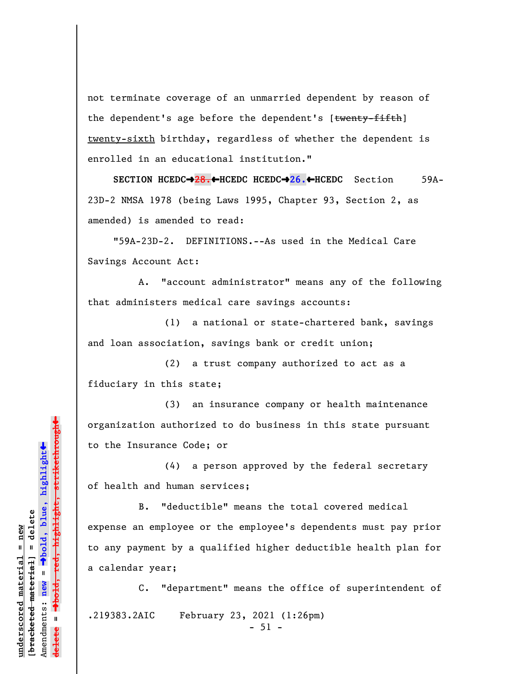not terminate coverage of an unmarried dependent by reason of the dependent's age before the dependent's [twenty-fifth] twenty-sixth birthday, regardless of whether the dependent is enrolled in an educational institution."

**SECTION HCEDC→28.←HCEDC HCEDC→26.←HCEDC** Section 59A-23D-2 NMSA 1978 (being Laws 1995, Chapter 93, Section 2, as amended) is amended to read:

"59A-23D-2. DEFINITIONS.--As used in the Medical Care Savings Account Act:

A. "account administrator" means any of the following that administers medical care savings accounts:

(1) a national or state-chartered bank, savings and loan association, savings bank or credit union;

(2) a trust company authorized to act as a fiduciary in this state;

(3) an insurance company or health maintenance organization authorized to do business in this state pursuant to the Insurance Code; or

(4) a person approved by the federal secretary of health and human services;

B. "deductible" means the total covered medical expense an employee or the employee's dependents must pay prior to any payment by a qualified higher deductible health plan for a calendar year;

C. "department" means the office of superintendent of .219383.2AIC February 23, 2021 (1:26pm)

 $-51 -$ 

º**bold, red, highlight, strikethrough**  $\ddot{\bullet}$ º**bold, blue, highlight** bracketed material] = delete **[bracketed material] = delete** inderscored material = new **underscored material = new** Amendments: **new** =  $\bar{\mathbf{u}}$ Amendments: new **delete =**

 $\ddag$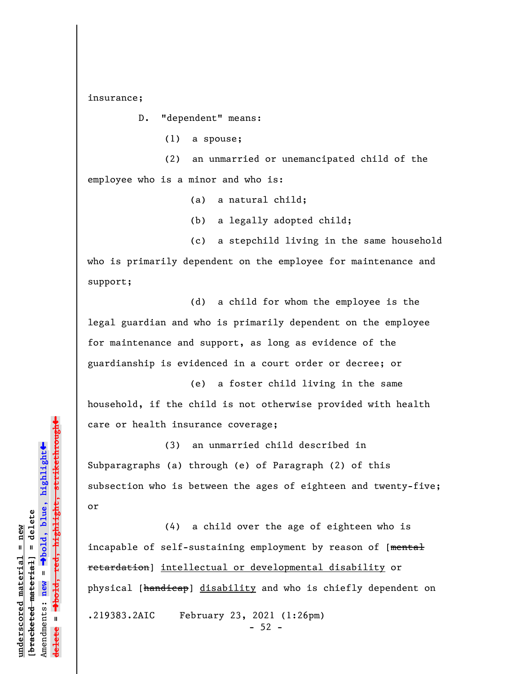insurance;

D. "dependent" means:

(1) a spouse;

(2) an unmarried or unemancipated child of the employee who is a minor and who is:

(a) a natural child;

(b) a legally adopted child;

(c) a stepchild living in the same household who is primarily dependent on the employee for maintenance and support;

(d) a child for whom the employee is the legal guardian and who is primarily dependent on the employee for maintenance and support, as long as evidence of the guardianship is evidenced in a court order or decree; or

(e) a foster child living in the same household, if the child is not otherwise provided with health care or health insurance coverage;

(3) an unmarried child described in Subparagraphs (a) through (e) of Paragraph (2) of this subsection who is between the ages of eighteen and twenty-five; or

(4) a child over the age of eighteen who is incapable of self-sustaining employment by reason of [mental retardation] intellectual or developmental disability or physical [handicap] disability and who is chiefly dependent on .219383.2AIC February 23, 2021 (1:26pm)  $-52 -$ 

highlight, strikethrough º**bold, red, highlight, strikethrough**  $\ddot{\bullet}$ º**bold, blue, highlight** bracketed material] = delete **[bracketed material] = delete** inderscored material = new **underscored material = new** Amendments: **new** =  $\bar{\mathbf{u}}$ Amendments: new **delete =**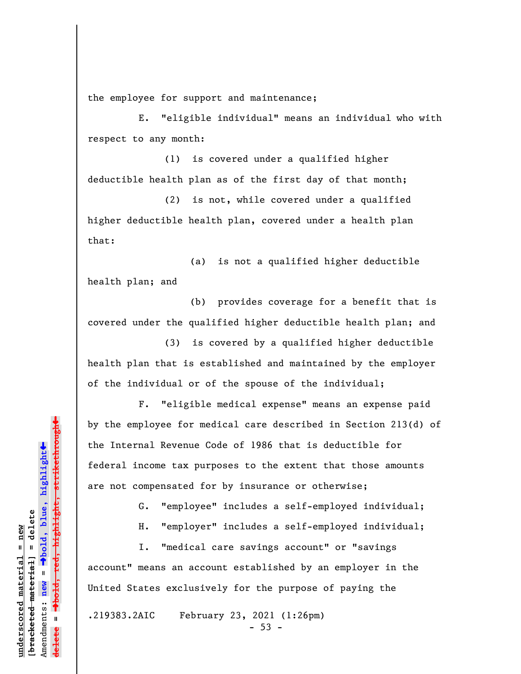the employee for support and maintenance;

E. "eligible individual" means an individual who with respect to any month:

(1) is covered under a qualified higher deductible health plan as of the first day of that month;

(2) is not, while covered under a qualified higher deductible health plan, covered under a health plan that:

(a) is not a qualified higher deductible health plan; and

(b) provides coverage for a benefit that is covered under the qualified higher deductible health plan; and

(3) is covered by a qualified higher deductible health plan that is established and maintained by the employer of the individual or of the spouse of the individual;

F. "eligible medical expense" means an expense paid by the employee for medical care described in Section 213(d) of the Internal Revenue Code of 1986 that is deductible for federal income tax purposes to the extent that those amounts are not compensated for by insurance or otherwise;

G. "employee" includes a self-employed individual;

H. "employer" includes a self-employed individual;

I. "medical care savings account" or "savings account" means an account established by an employer in the United States exclusively for the purpose of paying the

.219383.2AIC February 23, 2021 (1:26pm)

 $-53 -$ 

»º**bold, red, highlight, strikethrough**  $\ddot{\bullet}$ º**bold, blue, highlight** bracketed material] = delete **[bracketed material] = delete** inderscored material = new **underscored material = new** Amendments: **new** =  $\bar{\mathbf{u}}$ Amendments: new **delete =**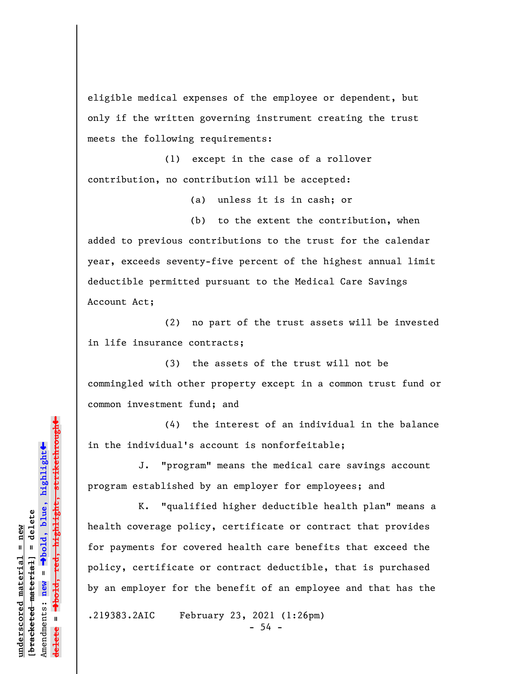eligible medical expenses of the employee or dependent, but only if the written governing instrument creating the trust meets the following requirements:

(1) except in the case of a rollover contribution, no contribution will be accepted:

(a) unless it is in cash; or

(b) to the extent the contribution, when added to previous contributions to the trust for the calendar year, exceeds seventy-five percent of the highest annual limit deductible permitted pursuant to the Medical Care Savings Account Act;

(2) no part of the trust assets will be invested in life insurance contracts;

(3) the assets of the trust will not be commingled with other property except in a common trust fund or common investment fund; and

(4) the interest of an individual in the balance in the individual's account is nonforfeitable;

J. "program" means the medical care savings account program established by an employer for employees; and

K. "qualified higher deductible health plan" means a health coverage policy, certificate or contract that provides for payments for covered health care benefits that exceed the policy, certificate or contract deductible, that is purchased by an employer for the benefit of an employee and that has the

.219383.2AIC February 23, 2021 (1:26pm)  $-54 -$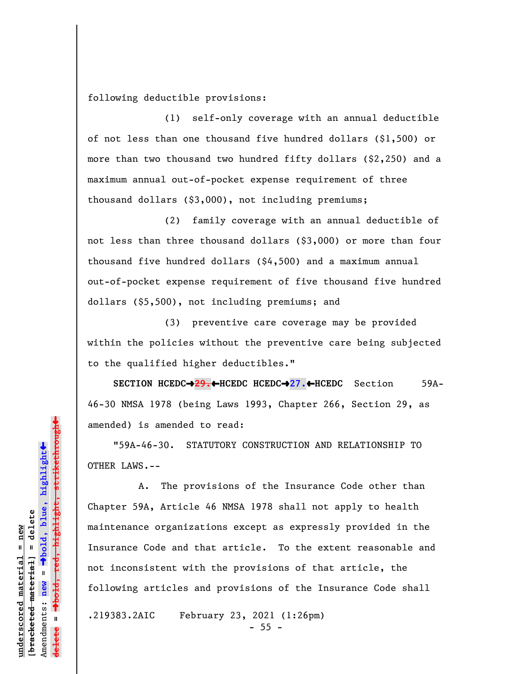following deductible provisions:

(1) self-only coverage with an annual deductible of not less than one thousand five hundred dollars (\$1,500) or more than two thousand two hundred fifty dollars (\$2,250) and a maximum annual out-of-pocket expense requirement of three thousand dollars (\$3,000), not including premiums;

(2) family coverage with an annual deductible of not less than three thousand dollars (\$3,000) or more than four thousand five hundred dollars (\$4,500) and a maximum annual out-of-pocket expense requirement of five thousand five hundred dollars (\$5,500), not including premiums; and

(3) preventive care coverage may be provided within the policies without the preventive care being subjected to the qualified higher deductibles."

**SECTION HCEDC**º**29.**»**HCEDC HCEDC**º**27.**»**HCEDC** Section 59A-46-30 NMSA 1978 (being Laws 1993, Chapter 266, Section 29, as amended) is amended to read:

"59A-46-30. STATUTORY CONSTRUCTION AND RELATIONSHIP TO OTHER LAWS.--

A. The provisions of the Insurance Code other than Chapter 59A, Article 46 NMSA 1978 shall not apply to health maintenance organizations except as expressly provided in the Insurance Code and that article. To the extent reasonable and not inconsistent with the provisions of that article, the following articles and provisions of the Insurance Code shall

.219383.2AIC February 23, 2021 (1:26pm)  $- 55 -$ 

 $\ddag$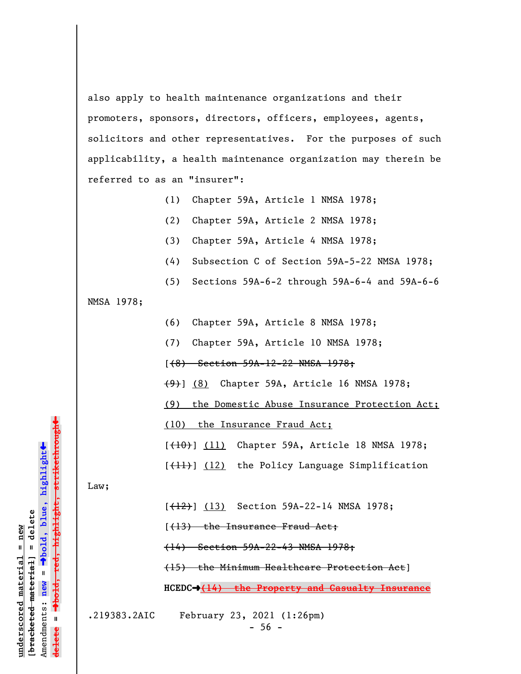also apply to health maintenance organizations and their promoters, sponsors, directors, officers, employees, agents, solicitors and other representatives. For the purposes of such applicability, a health maintenance organization may therein be referred to as an "insurer":

- (1) Chapter 59A, Article 1 NMSA 1978;
- (2) Chapter 59A, Article 2 NMSA 1978;
- (3) Chapter 59A, Article 4 NMSA 1978;
- (4) Subsection C of Section 59A-5-22 NMSA 1978;
- (5) Sections 59A-6-2 through 59A-6-4 and 59A-6-6

NMSA 1978;

- (6) Chapter 59A, Article 8 NMSA 1978;
- (7) Chapter 59A, Article 10 NMSA 1978;
- [(8) Section 59A-12-22 NMSA 1978;
- (9)] (8) Chapter 59A, Article 16 NMSA 1978;
- (9) the Domestic Abuse Insurance Protection Act;
- (10) the Insurance Fraud Act;
- [(10)] (11) Chapter 59A, Article 18 NMSA 1978;
- [(11)] (12) the Policy Language Simplification

Law;

- $[+12]$  (13) Section 59A-22-14 NMSA 1978;
- [(13) the Insurance Fraud Act;

(14) Section 59A-22-43 NMSA 1978;

- (15) the Minimum Healthcare Protection Act]
- **HCEDC**º**(14) the Property and Casualty Insurance**

.219383.2AIC February 23, 2021 (1:26pm)

 $-56 -$ 

º**bold, red, highlight, strikethrough** highiight, strikethro  $\ddot{\bullet}$ º**bold, blue, highlight**  $b$ racketed material] = delete **[bracketed material] = delete** inderscored material = new **underscored material = new** Amendments: **new** =  $\mathbf{I}$ Amendments: new **delete =**

»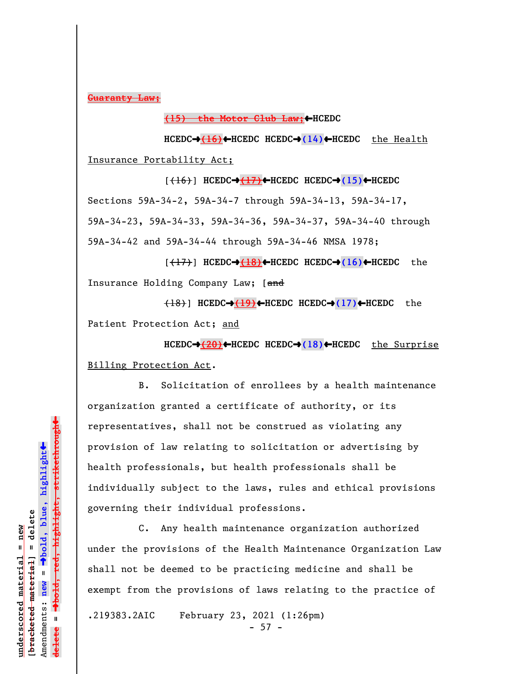**Guaranty Law;**

**(15) the Motor Club Law;←HCEDC** 

**HCEDC**º**(16)**»**HCEDC HCEDC**º**(14)**»**HCEDC** the Health Insurance Portability Act;

 $(\overline{16})$  **HCEDC** $\rightarrow$   $\overline{(17)}$   $\leftarrow$  HCEDC **HCEDC** $\rightarrow$  (15) $\leftarrow$  HCEDC Sections 59A-34-2, 59A-34-7 through 59A-34-13, 59A-34-17, 59A-34-23, 59A-34-33, 59A-34-36, 59A-34-37, 59A-34-40 through 59A-34-42 and 59A-34-44 through 59A-34-46 NMSA 1978;

[(17)] **HCEDC**º**(18)**»**HCEDC HCEDC**º**(16)**»**HCEDC** the Insurance Holding Company Law; [and

(18)] **HCEDC**º**(19)**»**HCEDC HCEDC**º**(17)**»**HCEDC** the Patient Protection Act; and

**HCEDC**º**(20)**»**HCEDC HCEDC**º**(18)**»**HCEDC** the Surprise Billing Protection Act.

B. Solicitation of enrollees by a health maintenance organization granted a certificate of authority, or its representatives, shall not be construed as violating any provision of law relating to solicitation or advertising by health professionals, but health professionals shall be individually subject to the laws, rules and ethical provisions governing their individual professions.

C. Any health maintenance organization authorized under the provisions of the Health Maintenance Organization Law shall not be deemed to be practicing medicine and shall be exempt from the provisions of laws relating to the practice of .219383.2AIC February 23, 2021 (1:26pm)

 $- 57 -$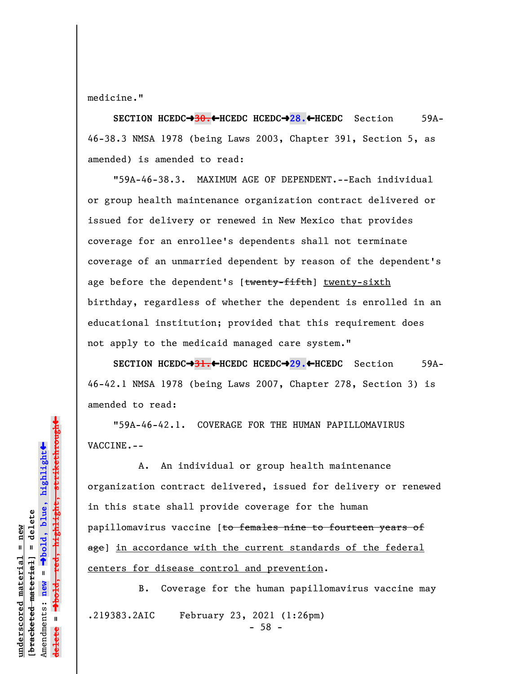medicine."

**SECTION HCEDC**º**30.**»**HCEDC HCEDC**º**28.**»**HCEDC** Section 59A-46-38.3 NMSA 1978 (being Laws 2003, Chapter 391, Section 5, as amended) is amended to read:

"59A-46-38.3. MAXIMUM AGE OF DEPENDENT.--Each individual or group health maintenance organization contract delivered or issued for delivery or renewed in New Mexico that provides coverage for an enrollee's dependents shall not terminate coverage of an unmarried dependent by reason of the dependent's age before the dependent's [twenty-fifth] twenty-sixth birthday, regardless of whether the dependent is enrolled in an educational institution; provided that this requirement does not apply to the medicaid managed care system."

**SECTION HCEDC→31.←HCEDC HCEDC→29.←HCEDC** Section 59A-46-42.1 NMSA 1978 (being Laws 2007, Chapter 278, Section 3) is amended to read:

"59A-46-42.1. COVERAGE FOR THE HUMAN PAPILLOMAVIRUS VACCINE.--

A. An individual or group health maintenance organization contract delivered, issued for delivery or renewed in this state shall provide coverage for the human papillomavirus vaccine [to females nine to fourteen years of age] in accordance with the current standards of the federal centers for disease control and prevention.

B. Coverage for the human papillomavirus vaccine may .219383.2AIC February 23, 2021 (1:26pm)  $-58 -$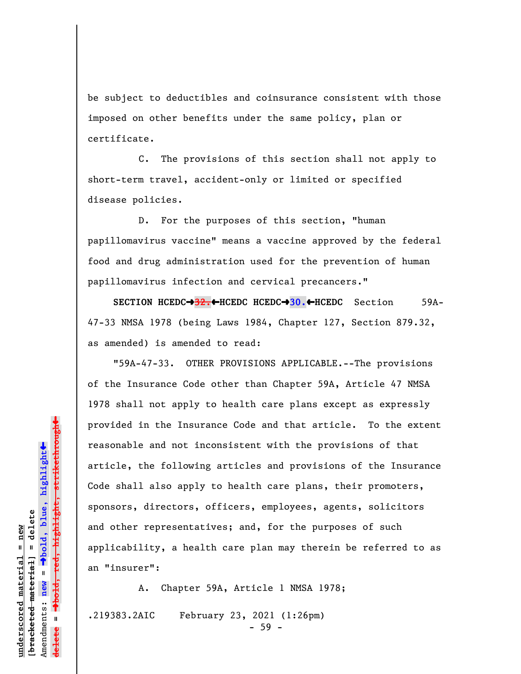be subject to deductibles and coinsurance consistent with those imposed on other benefits under the same policy, plan or certificate.

C. The provisions of this section shall not apply to short-term travel, accident-only or limited or specified disease policies.

D. For the purposes of this section, "human papillomavirus vaccine" means a vaccine approved by the federal food and drug administration used for the prevention of human papillomavirus infection and cervical precancers."

**SECTION HCEDC→32.←HCEDC HCEDC→30.←HCEDC** Section 59A-47-33 NMSA 1978 (being Laws 1984, Chapter 127, Section 879.32, as amended) is amended to read:

"59A-47-33. OTHER PROVISIONS APPLICABLE.--The provisions of the Insurance Code other than Chapter 59A, Article 47 NMSA 1978 shall not apply to health care plans except as expressly provided in the Insurance Code and that article. To the extent reasonable and not inconsistent with the provisions of that article, the following articles and provisions of the Insurance Code shall also apply to health care plans, their promoters, sponsors, directors, officers, employees, agents, solicitors and other representatives; and, for the purposes of such applicability, a health care plan may therein be referred to as an "insurer":

A. Chapter 59A, Article 1 NMSA 1978; .219383.2AIC February 23, 2021 (1:26pm)

highlight, strikethrough º**bold, red, highlight, strikethrough**  $\ddot{\bullet}$ º**bold, blue, highlight**  $b$ racketed material] = delete **[bracketed material] = delete** inderscored material = new **underscored material = new** Amendments: **new** =  $\mathbf{u}$ Amendments: new **delete =**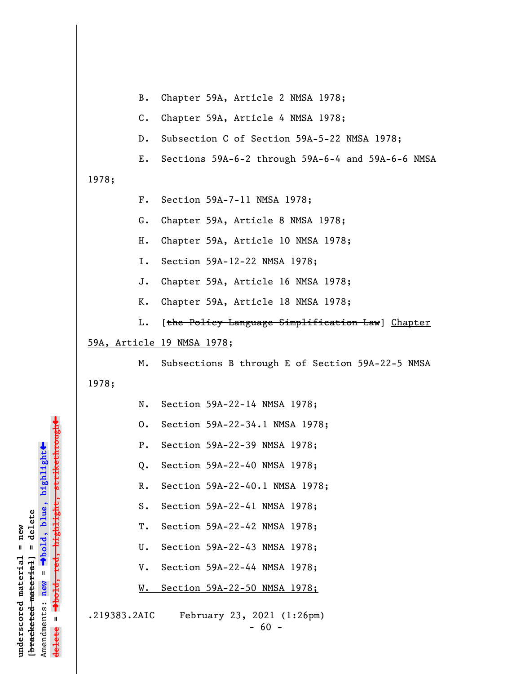| B. Chapter 59A, Article 2 NMSA 1978; |  |  |
|--------------------------------------|--|--|
|                                      |  |  |

C. Chapter 59A, Article 4 NMSA 1978;

D. Subsection C of Section 59A-5-22 NMSA 1978;

E. Sections 59A-6-2 through 59A-6-4 and 59A-6-6 NMSA

1978;

- F. Section 59A-7-11 NMSA 1978;
- G. Chapter 59A, Article 8 NMSA 1978;
- H. Chapter 59A, Article 10 NMSA 1978;
- I. Section 59A-12-22 NMSA 1978;
- J. Chapter 59A, Article 16 NMSA 1978;
- K. Chapter 59A, Article 18 NMSA 1978;
- L. [the Policy Language Simplification Law] Chapter

## 59A, Article 19 NMSA 1978;

 M. Subsections B through E of Section 59A-22-5 NMSA 1978;

- N. Section 59A-22-14 NMSA 1978;
- O. Section 59A-22-34.1 NMSA 1978;
- P. Section 59A-22-39 NMSA 1978;
- Q. Section 59A-22-40 NMSA 1978;
- R. Section 59A-22-40.1 NMSA 1978;
- S. Section 59A-22-41 NMSA 1978;
- T. Section 59A-22-42 NMSA 1978;
- U. Section 59A-22-43 NMSA 1978;
- V. Section 59A-22-44 NMSA 1978;
- W. Section 59A-22-50 NMSA 1978;

.219383.2AIC February 23, 2021 (1:26pm)

**underscored material = new [bracketed material] = delete**

 $b$ racketed material] = delete inderscored material = new

Amendments: **new** =

Amendments: new  $\mathbf{u}$ 

 $\mathbf{I}$ 

**delete =**

lelete

º**bold, blue, highlight**

º**bold, red, highlight, strikethrough**

highlight, strikethro

 $\ddot{\bullet}$ 

»

- 60 -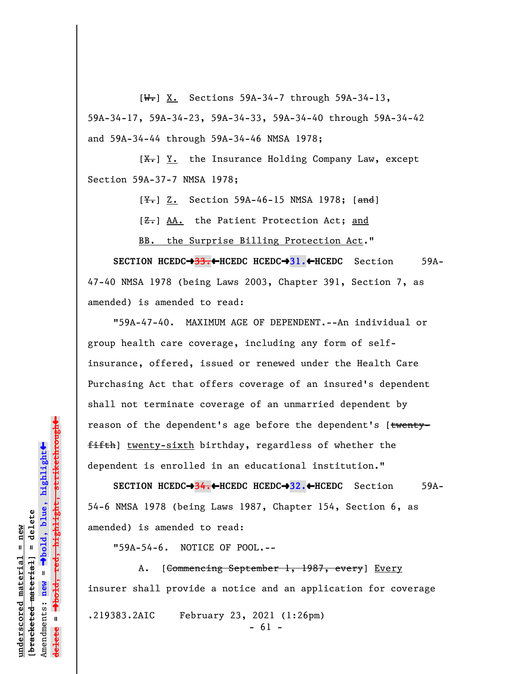$[\overline{\mathbf{W}}_r]$  X. Sections 59A-34-7 through 59A-34-13, 59A-34-17, 59A-34-23, 59A-34-33, 59A-34-40 through 59A-34-42 and 59A-34-44 through 59A-34-46 NMSA 1978;

 $[X<sub>1</sub>]$  Y. the Insurance Holding Company Law, except Section 59A-37-7 NMSA 1978;

 $[\frac{Y-}{3}, \frac{Z}{2}]$ . Section 59A-46-15 NMSA 1978;  $[\frac{3}{2}]$ 

[ $Z$ .] AA. the Patient Protection Act; and

BB. the Surprise Billing Protection Act."

**SECTION HCEDC**º**33.**»**HCEDC HCEDC**º**31.**»**HCEDC** Section 59A-47-40 NMSA 1978 (being Laws 2003, Chapter 391, Section 7, as amended) is amended to read:

"59A-47-40. MAXIMUM AGE OF DEPENDENT.--An individual or group health care coverage, including any form of selfinsurance, offered, issued or renewed under the Health Care Purchasing Act that offers coverage of an insured's dependent shall not terminate coverage of an unmarried dependent by reason of the dependent's age before the dependent's [twentyfifth] twenty-sixth birthday, regardless of whether the dependent is enrolled in an educational institution."

**SECTION HCEDC→34.←HCEDC HCEDC→32.←HCEDC** Section 59A-54-6 NMSA 1978 (being Laws 1987, Chapter 154, Section 6, as amended) is amended to read:

"59A-54-6. NOTICE OF POOL.--

A. [Commencing September 1, 1987, every] Every insurer shall provide a notice and an application for coverage .219383.2AIC February 23, 2021 (1:26pm)  $- 61 -$ 

»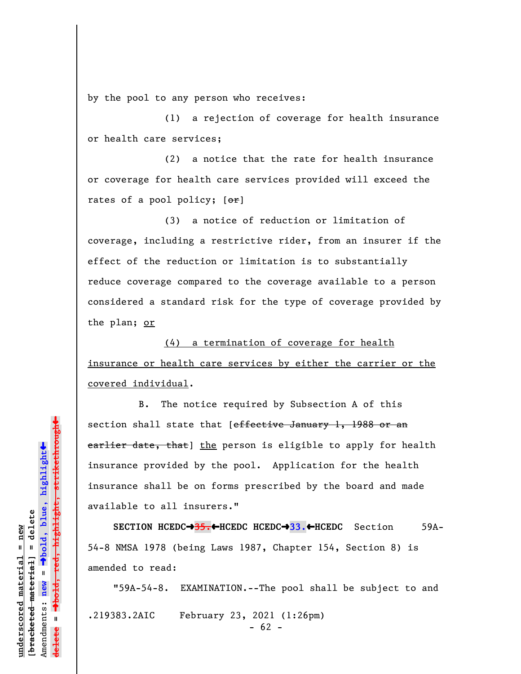by the pool to any person who receives:

(1) a rejection of coverage for health insurance or health care services;

(2) a notice that the rate for health insurance or coverage for health care services provided will exceed the rates of a pool policy;  $[ $\theta$  r]$ 

(3) a notice of reduction or limitation of coverage, including a restrictive rider, from an insurer if the effect of the reduction or limitation is to substantially reduce coverage compared to the coverage available to a person considered a standard risk for the type of coverage provided by the plan; or

(4) a termination of coverage for health insurance or health care services by either the carrier or the covered individual.

B. The notice required by Subsection A of this section shall state that [effective January 1, 1988 or an earlier date, that] the person is eligible to apply for health insurance provided by the pool. Application for the health insurance shall be on forms prescribed by the board and made available to all insurers."

**SECTION HCEDC**º**35.**»**HCEDC HCEDC**º**33.**»**HCEDC** Section 59A-54-8 NMSA 1978 (being Laws 1987, Chapter 154, Section 8) is amended to read:

"59A-54-8. EXAMINATION.--The pool shall be subject to and .219383.2AIC February 23, 2021 (1:26pm)  $- 62 -$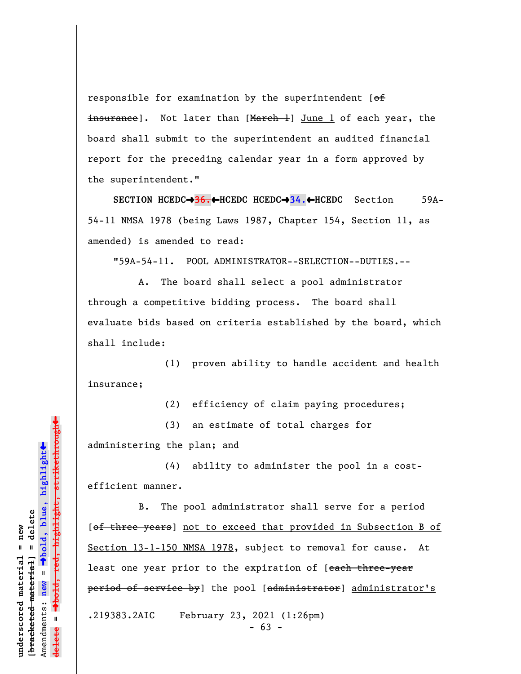responsible for examination by the superintendent  $[ $\theta$  f]$ insurance]. Not later than [March 1] June 1 of each year, the board shall submit to the superintendent an audited financial report for the preceding calendar year in a form approved by the superintendent."

**SECTION HCEDC**º**36.**»**HCEDC HCEDC**º**34.**»**HCEDC** Section 59A-54-11 NMSA 1978 (being Laws 1987, Chapter 154, Section 11, as amended) is amended to read:

"59A-54-11. POOL ADMINISTRATOR--SELECTION--DUTIES.--

A. The board shall select a pool administrator through a competitive bidding process. The board shall evaluate bids based on criteria established by the board, which shall include:

(1) proven ability to handle accident and health insurance;

(2) efficiency of claim paying procedures;

(3) an estimate of total charges for

administering the plan; and

(4) ability to administer the pool in a costefficient manner.

B. The pool administrator shall serve for a period [of three years] not to exceed that provided in Subsection B of Section 13-1-150 NMSA 1978, subject to removal for cause. At least one year prior to the expiration of [each three-year period of service by] the pool [administrator] administrator's

.219383.2AIC February 23, 2021 (1:26pm)

 $- 63 -$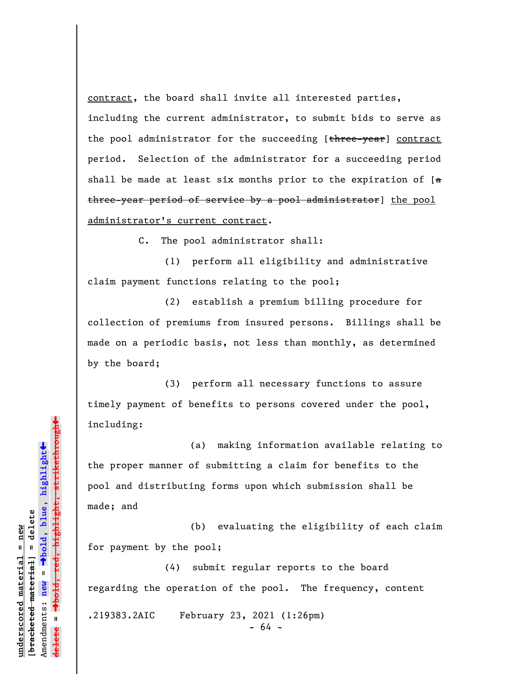contract, the board shall invite all interested parties, including the current administrator, to submit bids to serve as the pool administrator for the succeeding [three-year] contract period. Selection of the administrator for a succeeding period shall be made at least six months prior to the expiration of  $[a]$ three-year period of service by a pool administrator] the pool administrator's current contract.

C. The pool administrator shall:

(1) perform all eligibility and administrative claim payment functions relating to the pool;

(2) establish a premium billing procedure for collection of premiums from insured persons. Billings shall be made on a periodic basis, not less than monthly, as determined by the board;

(3) perform all necessary functions to assure timely payment of benefits to persons covered under the pool, including:

(a) making information available relating to the proper manner of submitting a claim for benefits to the pool and distributing forms upon which submission shall be made; and

(b) evaluating the eligibility of each claim for payment by the pool;

(4) submit regular reports to the board regarding the operation of the pool. The frequency, content

.219383.2AIC February 23, 2021 (1:26pm)

- 64 -

»º**bold, red, highlight, strikethrough**  $\ddot{\bullet}$ º**bold, blue, highlight**  $b$ racketed material] = delete **[bracketed material] = delete** inderscored material = new **underscored material = new** Amendments: **new** =  $\mathbf{u}$ Amendments: new  $\mathbf{u}$ **delete =** lelete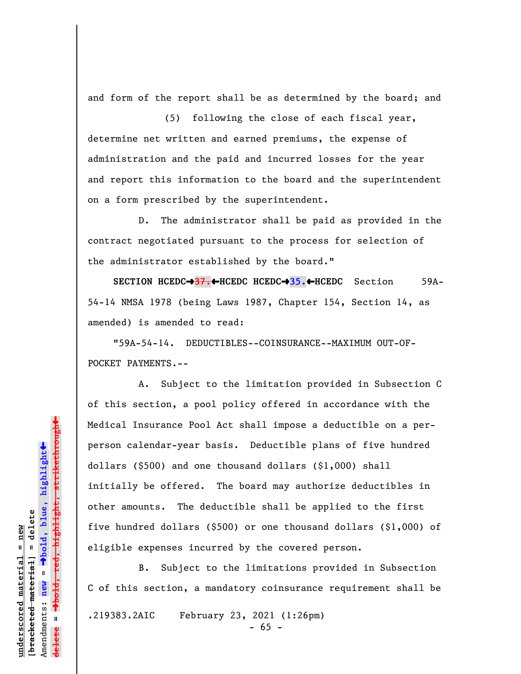and form of the report shall be as determined by the board; and

(5) following the close of each fiscal year, determine net written and earned premiums, the expense of administration and the paid and incurred losses for the year and report this information to the board and the superintendent on a form prescribed by the superintendent.

D. The administrator shall be paid as provided in the contract negotiated pursuant to the process for selection of the administrator established by the board."

**SECTION HCEDC→37.←HCEDC HCEDC→35.←HCEDC** Section 59A-54-14 NMSA 1978 (being Laws 1987, Chapter 154, Section 14, as amended) is amended to read:

"59A-54-14. DEDUCTIBLES--COINSURANCE--MAXIMUM OUT-OF-POCKET PAYMENTS.--

A. Subject to the limitation provided in Subsection C of this section, a pool policy offered in accordance with the Medical Insurance Pool Act shall impose a deductible on a perperson calendar-year basis. Deductible plans of five hundred dollars (\$500) and one thousand dollars (\$1,000) shall initially be offered. The board may authorize deductibles in other amounts. The deductible shall be applied to the first five hundred dollars (\$500) or one thousand dollars (\$1,000) of eligible expenses incurred by the covered person.

B. Subject to the limitations provided in Subsection C of this section, a mandatory coinsurance requirement shall be

.219383.2AIC February 23, 2021 (1:26pm)

 $- 65 -$ 

 $\ddag$ º**bold, red, highlight, strikethrough**  $\ddot{\bullet}$ º**bold, blue, highlight**  $b$ racketed material] = delete **[bracketed material] = delete** inderscored material = new **underscored material = new** Amendments: **new** =  $\bar{\mathbf{u}}$ Amendments: new  $\mathbf{u}$ **delete =**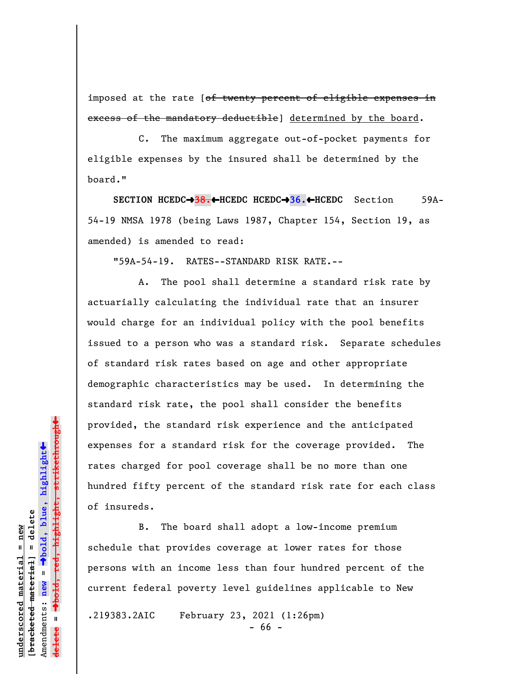imposed at the rate [of twenty percent of eligible expenses in excess of the mandatory deductible] determined by the board.

C. The maximum aggregate out-of-pocket payments for eligible expenses by the insured shall be determined by the board."

**SECTION HCEDC→38.←HCEDC HCEDC→36.←HCEDC** Section 59A-54-19 NMSA 1978 (being Laws 1987, Chapter 154, Section 19, as amended) is amended to read:

"59A-54-19. RATES--STANDARD RISK RATE.--

A. The pool shall determine a standard risk rate by actuarially calculating the individual rate that an insurer would charge for an individual policy with the pool benefits issued to a person who was a standard risk. Separate schedules of standard risk rates based on age and other appropriate demographic characteristics may be used. In determining the standard risk rate, the pool shall consider the benefits provided, the standard risk experience and the anticipated expenses for a standard risk for the coverage provided. The rates charged for pool coverage shall be no more than one hundred fifty percent of the standard risk rate for each class of insureds.

B. The board shall adopt a low-income premium schedule that provides coverage at lower rates for those persons with an income less than four hundred percent of the current federal poverty level guidelines applicable to New

.219383.2AIC February 23, 2021 (1:26pm)

```
- 66 -
```
-bold, red, highlight, strikethrough º**bold, red, highlight, strikethrough**  $\ddot{\bullet}$ º**bold, blue, highlight** bracketed material] = delete **[bracketed material] = delete** mderscored material = new **underscored material = new** Amendments: **new** =  $\mathbf{u}$ Amendments: new **delete =**

»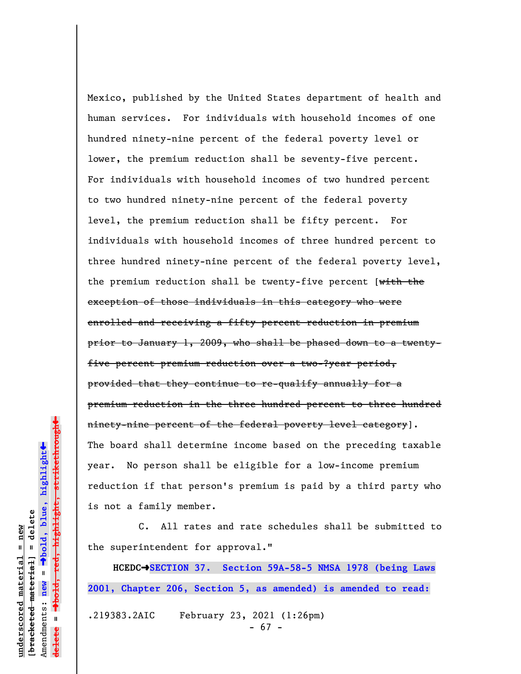Mexico, published by the United States department of health and human services. For individuals with household incomes of one hundred ninety-nine percent of the federal poverty level or lower, the premium reduction shall be seventy-five percent. For individuals with household incomes of two hundred percent to two hundred ninety-nine percent of the federal poverty level, the premium reduction shall be fifty percent. For individuals with household incomes of three hundred percent to three hundred ninety-nine percent of the federal poverty level, the premium reduction shall be twenty-five percent [with the exception of those individuals in this category who were enrolled and receiving a fifty percent reduction in premium prior to January 1, 2009, who shall be phased down to a twentyfive percent premium reduction over a two-?year period, provided that they continue to re-qualify annually for a premium reduction in the three hundred percent to three hundred ninety-nine percent of the federal poverty level category]. The board shall determine income based on the preceding taxable year. No person shall be eligible for a low-income premium reduction if that person's premium is paid by a third party who is not a family member.

C. All rates and rate schedules shall be submitted to the superintendent for approval."

**HCEDC**º**SECTION 37. Section 59A-58-5 NMSA 1978 (being Laws 2001, Chapter 206, Section 5, as amended) is amended to read:** .219383.2AIC February 23, 2021 (1:26pm)

- 67 -

 $\ddot{\bullet}$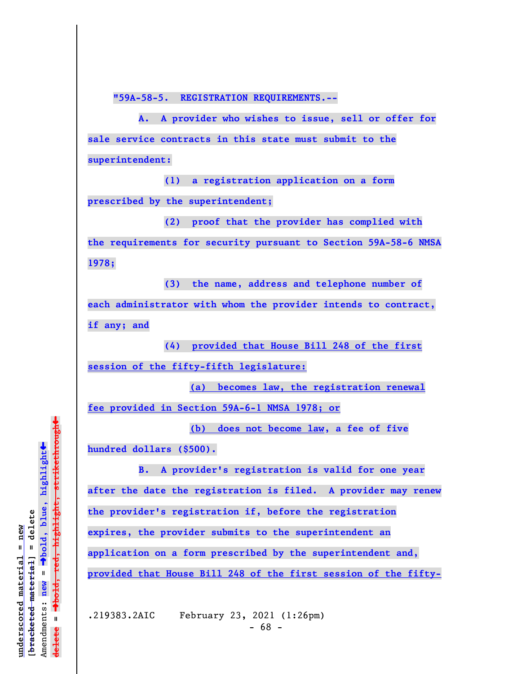**"59A-58-5. REGISTRATION REQUIREMENTS.--**

**A. A provider who wishes to issue, sell or offer for sale service contracts in this state must submit to the superintendent:**

**(1) a registration application on a form prescribed by the superintendent;**

**(2) proof that the provider has complied with the requirements for security pursuant to Section 59A-58-6 NMSA 1978;**

**(3) the name, address and telephone number of each administrator with whom the provider intends to contract, if any; and**

**(4) provided that House Bill 248 of the first session of the fifty-fifth legislature:**

**(a) becomes law, the registration renewal fee provided in Section 59A-6-1 NMSA 1978; or**

**(b) does not become law, a fee of five**

**hundred dollars (\$500).**

**B. A provider's registration is valid for one year after the date the registration is filed. A provider may renew the provider's registration if, before the registration expires, the provider submits to the superintendent an application on a form prescribed by the superintendent and, provided that House Bill 248 of the first session of the fifty-**

.219383.2AIC February 23, 2021 (1:26pm)

 $\ddag$ º**bold, red, highlight, strikethrough**  $\ddot{\bullet}$ º**bold, blue, highlight**  $b$ racketed material] = delete **[bracketed material] = delete** inderscored material = new **underscored material = new** Amendments: new = Amendments: **new** =  $\mathbf{u}$ **delete =** lelete